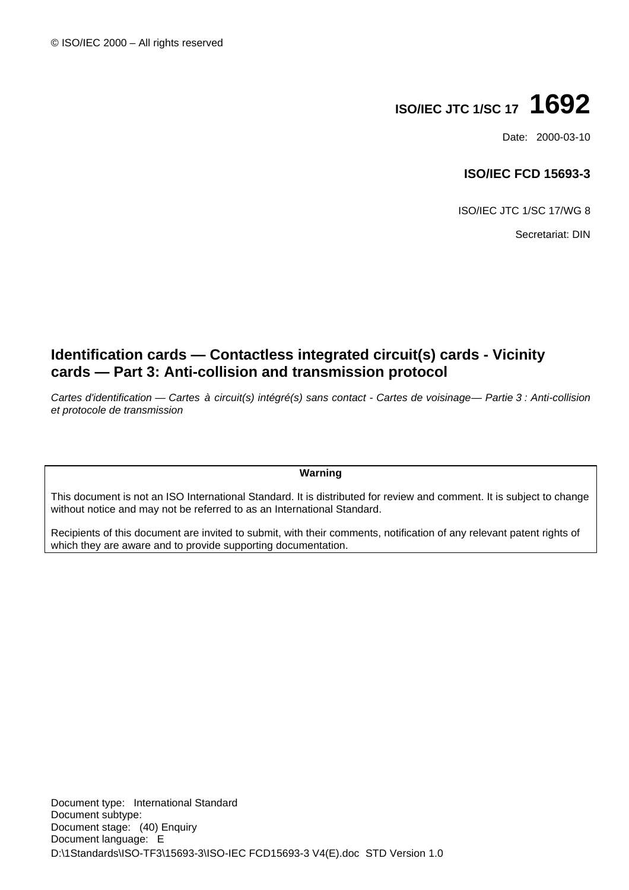# **ISO/IEC JTC 1/SC 17 1692**

Date: 2000-03-10

### **ISO/IEC FCD 15693-3**

ISO/IEC JTC 1/SC 17/WG 8

Secretariat: DIN

# **Identification cards — Contactless integrated circuit(s) cards - Vicinity cards — Part 3: Anti-collision and transmission protocol**

*Cartes d'identification — Cartes à circuit(s) intégré(s) sans contact - Cartes de voisinage — Partie 3 : Anti-collision et protocole de transmission*

#### **Warning**

This document is not an ISO International Standard. It is distributed for review and comment. It is subject to change without notice and may not be referred to as an International Standard.

Recipients of this document are invited to submit, with their comments, notification of any relevant patent rights of which they are aware and to provide supporting documentation.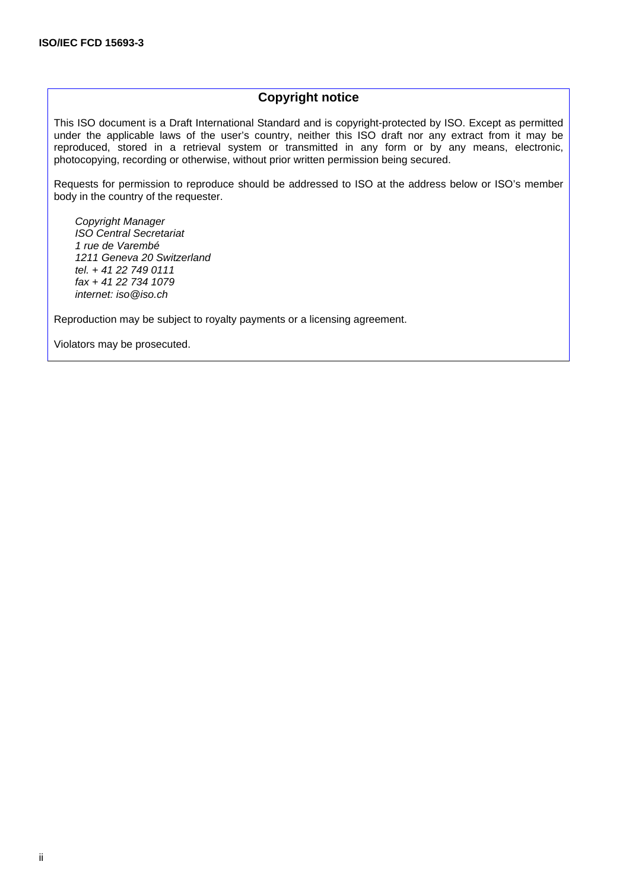### **Copyright notice**

This ISO document is a Draft International Standard and is copyright-protected by ISO. Except as permitted under the applicable laws of the user's country, neither this ISO draft nor any extract from it may be reproduced, stored in a retrieval system or transmitted in any form or by any means, electronic, photocopying, recording or otherwise, without prior written permission being secured.

Requests for permission to reproduce should be addressed to ISO at the address below or ISO's member body in the country of the requester.

*Copyright Manager ISO Central Secretariat 1 rue de Varembé 1211 Geneva 20 Switzerland tel. + 41 22 749 0111 fax + 41 22 734 1079 internet: iso@iso.ch*

Reproduction may be subject to royalty payments or a licensing agreement.

Violators may be prosecuted.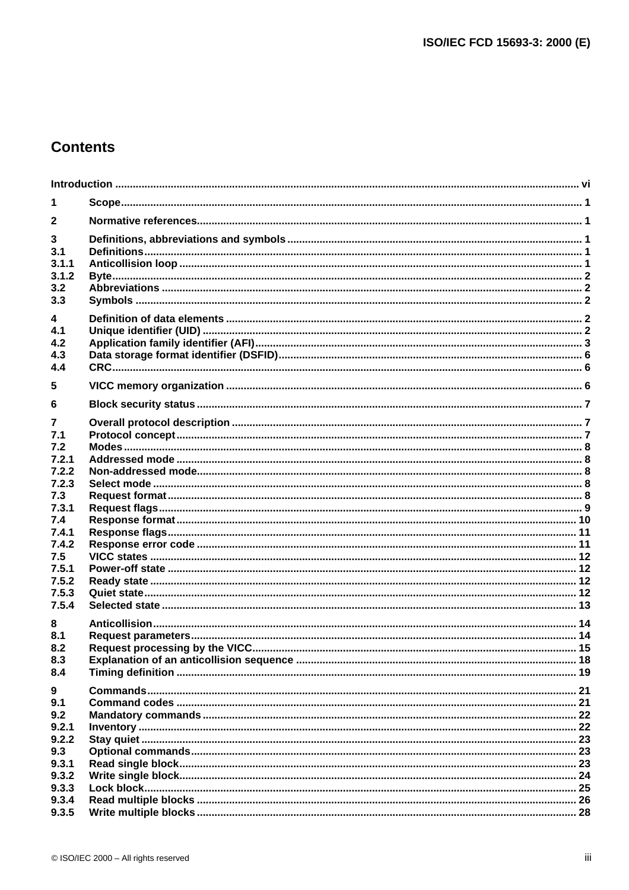# **Contents**

| 1                             |  |
|-------------------------------|--|
| $\mathbf{2}$                  |  |
| 3<br>3.1                      |  |
| 3.1.1<br>3.1.2<br>3.2<br>3.3  |  |
| 4<br>4.1<br>4.2<br>4.3<br>4.4 |  |
| 5                             |  |
| 6                             |  |
| 7<br>7.1                      |  |
| 7.2<br>7.2.1<br>7.2.2         |  |
| 7.2.3<br>7.3<br>7.3.1         |  |
| 7.4<br>7.4.1<br>7.4.2         |  |
| 7.5<br>7.5.1                  |  |
| 7.5.2<br>7.5.3<br>7.5.4       |  |
| 8<br>8.1<br>8.2<br>8.3<br>8.4 |  |
| 9<br>9.1                      |  |
| 9.2<br>9.2.1<br>9.2.2         |  |
| 9.3<br>9.3.1                  |  |
| 9.3.2<br>9.3.3<br>9.3.4       |  |
| 9.3.5                         |  |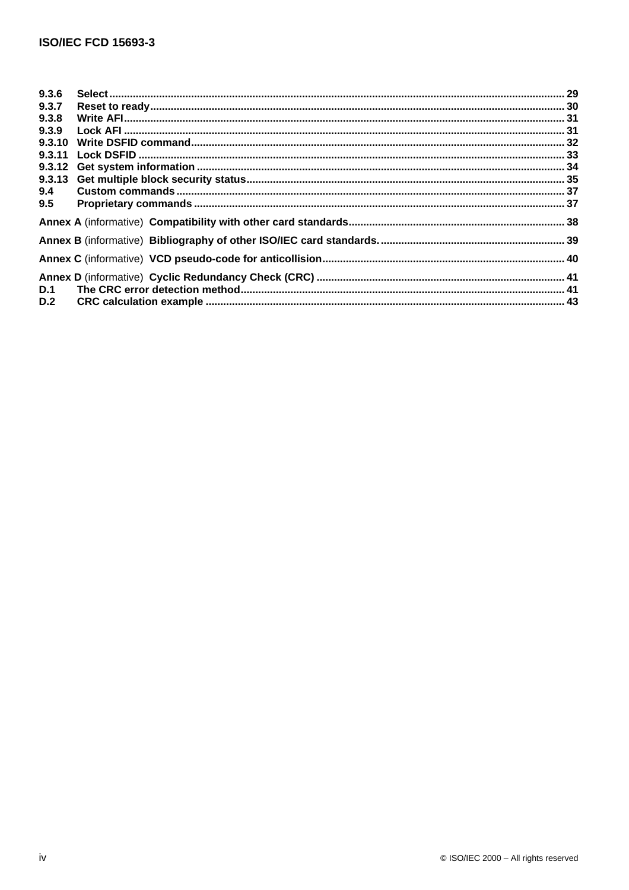| 9.3.6  |  |
|--------|--|
| 9.3.7  |  |
| 9.3.8  |  |
| 9.3.9  |  |
| 9.3.10 |  |
|        |  |
|        |  |
|        |  |
| 9.4    |  |
| 9.5    |  |
|        |  |
|        |  |
|        |  |
|        |  |
| D.1    |  |
| D.2    |  |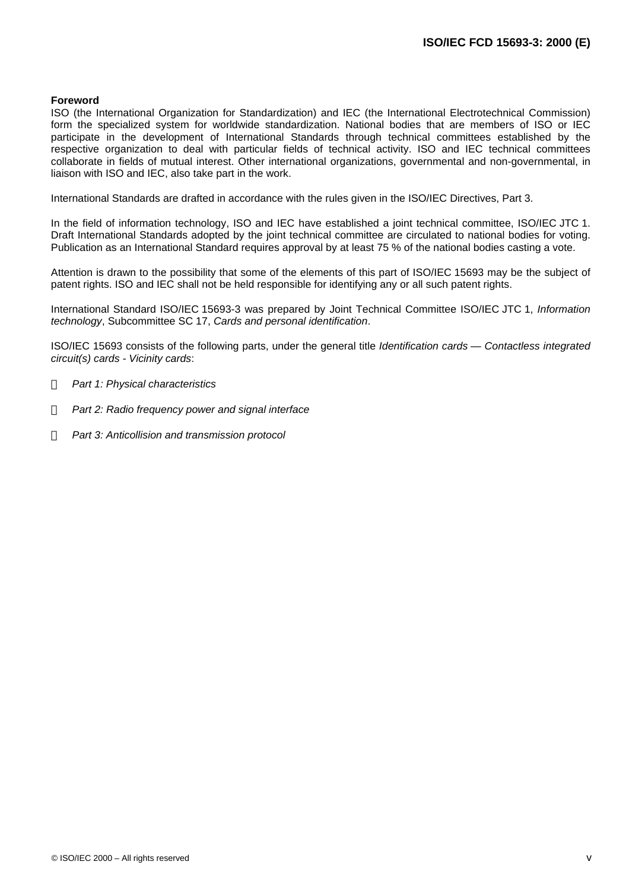#### **Foreword**

ISO (the International Organization for Standardization) and IEC (the International Electrotechnical Commission) form the specialized system for worldwide standardization. National bodies that are members of ISO or IEC participate in the development of International Standards through technical committees established by the respective organization to deal with particular fields of technical activity. ISO and IEC technical committees collaborate in fields of mutual interest. Other international organizations, governmental and non-governmental, in liaison with ISO and IEC, also take part in the work.

International Standards are drafted in accordance with the rules given in the ISO/IEC Directives, Part 3.

In the field of information technology, ISO and IEC have established a joint technical committee, ISO/IEC JTC 1. Draft International Standards adopted by the joint technical committee are circulated to national bodies for voting. Publication as an International Standard requires approval by at least 75 % of the national bodies casting a vote.

Attention is drawn to the possibility that some of the elements of this part of ISO/IEC 15693 may be the subject of patent rights. ISO and IEC shall not be held responsible for identifying any or all such patent rights.

International Standard ISO/IEC 15693-3 was prepared by Joint Technical Committee ISO/IEC JTC 1, *Information technology*, Subcommittee SC 17, *Cards and personal identification*.

ISO/IEC 15693 consists of the following parts, under the general title *Identification cards — Contactless integrated circuit(s) cards - Vicinity cards*:

- *Part 1: Physical characteristics*
- *Part 2: Radio frequency power and signal interface*
- *Part 3: Anticollision and transmission protocol*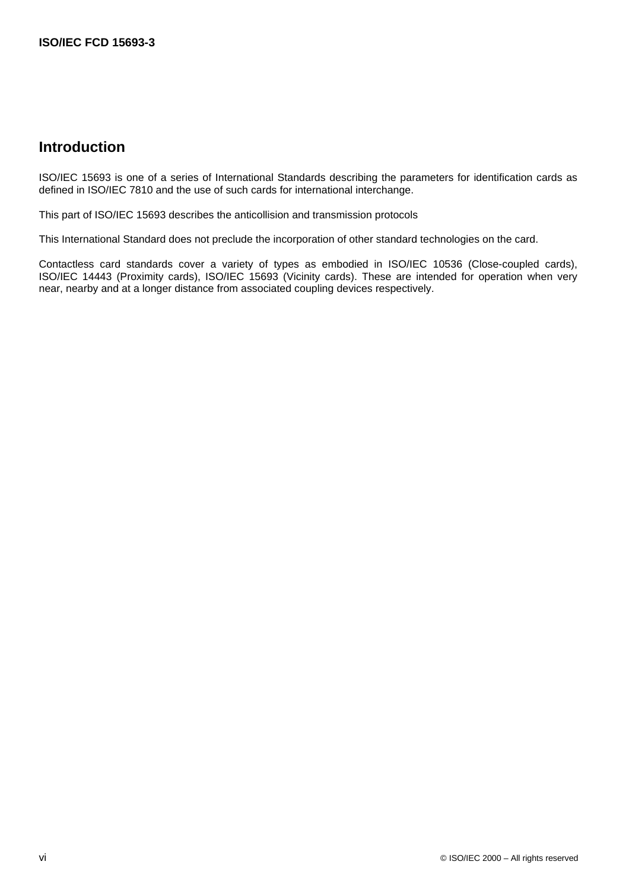# **Introduction**

ISO/IEC 15693 is one of a series of International Standards describing the parameters for identification cards as defined in ISO/IEC 7810 and the use of such cards for international interchange.

This part of ISO/IEC 15693 describes the anticollision and transmission protocols

This International Standard does not preclude the incorporation of other standard technologies on the card.

Contactless card standards cover a variety of types as embodied in ISO/IEC 10536 (Close-coupled cards), ISO/IEC 14443 (Proximity cards), ISO/IEC 15693 (Vicinity cards). These are intended for operation when very near, nearby and at a longer distance from associated coupling devices respectively.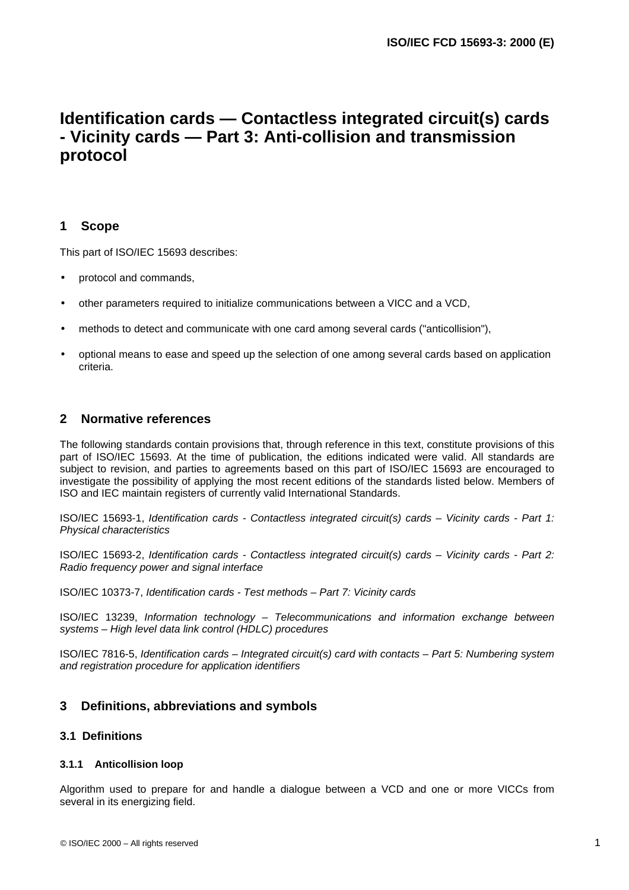# **Identification cards — Contactless integrated circuit(s) cards - Vicinity cards — Part 3: Anti-collision and transmission protocol**

### **1 Scope**

This part of ISO/IEC 15693 describes:

- protocol and commands,
- other parameters required to initialize communications between a VICC and a VCD,
- methods to detect and communicate with one card among several cards ("anticollision"),
- optional means to ease and speed up the selection of one among several cards based on application criteria.

### **2 Normative references**

The following standards contain provisions that, through reference in this text, constitute provisions of this part of ISO/IEC 15693. At the time of publication, the editions indicated were valid. All standards are subject to revision, and parties to agreements based on this part of ISO/IEC 15693 are encouraged to investigate the possibility of applying the most recent editions of the standards listed below. Members of ISO and IEC maintain registers of currently valid International Standards.

ISO/IEC 15693-1, *Identification cards - Contactless integrated circuit(s) cards – Vicinity cards - Part 1: Physical characteristics*

ISO/IEC 15693-2, *Identification cards - Contactless integrated circuit(s) cards – Vicinity cards - Part 2: Radio frequency power and signal interface*

ISO/IEC 10373-7, *Identification cards - Test methods – Part 7: Vicinity cards*

ISO/IEC 13239, *Information technology – Telecommunications and information exchange between systems – High level data link control (HDLC) procedures*

ISO/IEC 7816-5, *Identification cards – Integrated circuit(s) card with contacts – Part 5: Numbering system and registration procedure for application identifiers*

### **3 Definitions, abbreviations and symbols**

### **3.1 Definitions**

#### **3.1.1 Anticollision loop**

Algorithm used to prepare for and handle a dialogue between a VCD and one or more VICCs from several in its energizing field.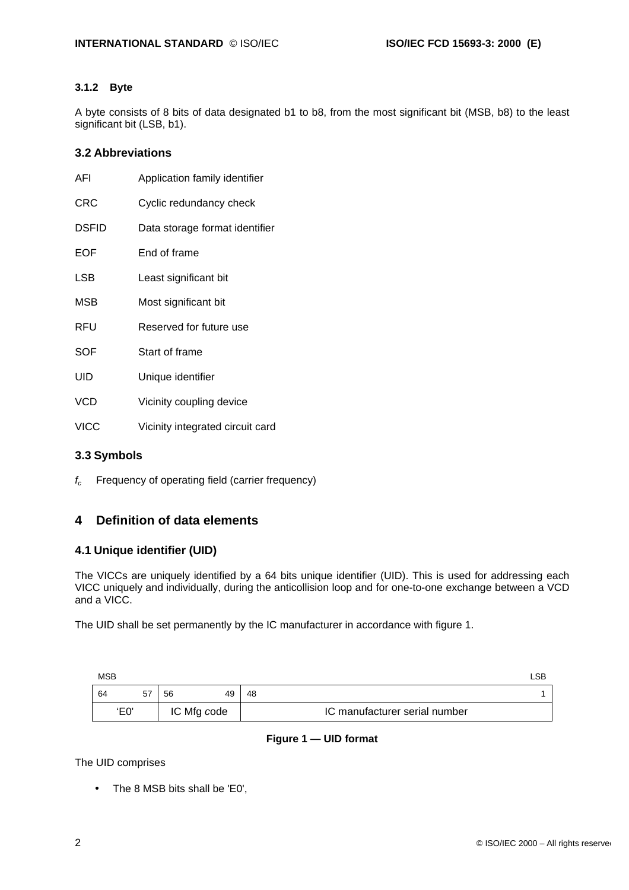### **3.1.2 Byte**

A byte consists of 8 bits of data designated b1 to b8, from the most significant bit (MSB, b8) to the least significant bit (LSB, b1).

### **3.2 Abbreviations**

| AFI          | Application family identifier    |
|--------------|----------------------------------|
| <b>CRC</b>   | Cyclic redundancy check          |
| <b>DSFID</b> | Data storage format identifier   |
| <b>EOF</b>   | End of frame                     |
| LSB          | Least significant bit            |
| MSB          | Most significant bit             |
| RFU          | Reserved for future use          |
| SOF          | Start of frame                   |
| UID          | Unique identifier                |
| <b>VCD</b>   | Vicinity coupling device         |
| <b>VICC</b>  | Vicinity integrated circuit card |

### **3.3 Symbols**

*fc* Frequency of operating field (carrier frequency)

### **4 Definition of data elements**

### **4.1 Unique identifier (UID)**

The VICCs are uniquely identified by a 64 bits unique identifier (UID). This is used for addressing each VICC uniquely and individually, during the anticollision loop and for one-to-one exchange between a VCD and a VICC.

The UID shall be set permanently by the IC manufacturer in accordance with figure 1.

| <b>MSB</b> |      |    |             |    |                               | LSB |
|------------|------|----|-------------|----|-------------------------------|-----|
| 64         |      | 56 | 49          | 48 |                               |     |
|            | 'E0' |    | IC Mfg code |    | IC manufacturer serial number |     |

### **Figure 1 — UID format**

The UID comprises

• The 8 MSB bits shall be 'E0',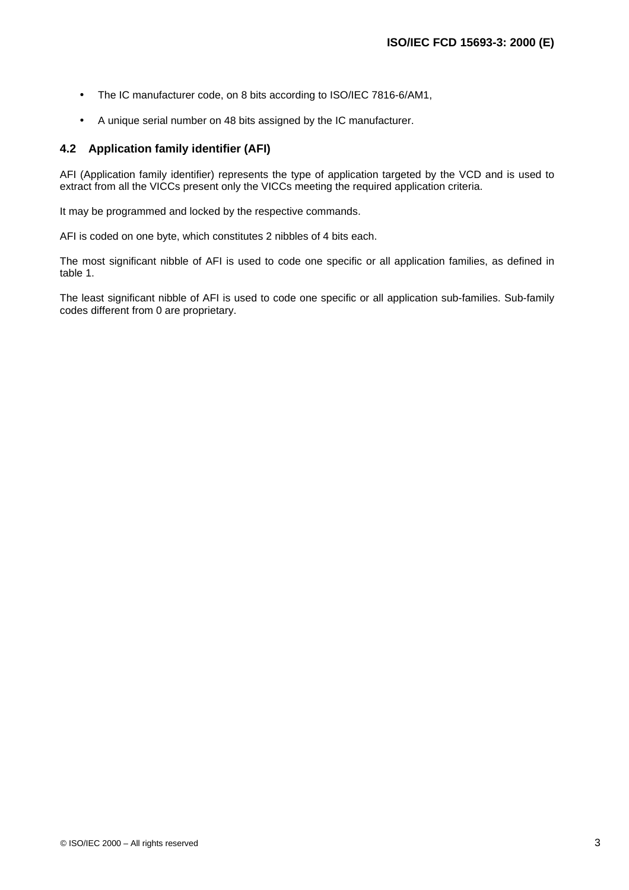- The IC manufacturer code, on 8 bits according to ISO/IEC 7816-6/AM1,
- A unique serial number on 48 bits assigned by the IC manufacturer.

### **4.2 Application family identifier (AFI)**

AFI (Application family identifier) represents the type of application targeted by the VCD and is used to extract from all the VICCs present only the VICCs meeting the required application criteria.

It may be programmed and locked by the respective commands.

AFI is coded on one byte, which constitutes 2 nibbles of 4 bits each.

The most significant nibble of AFI is used to code one specific or all application families, as defined in table 1.

The least significant nibble of AFI is used to code one specific or all application sub-families. Sub-family codes different from 0 are proprietary.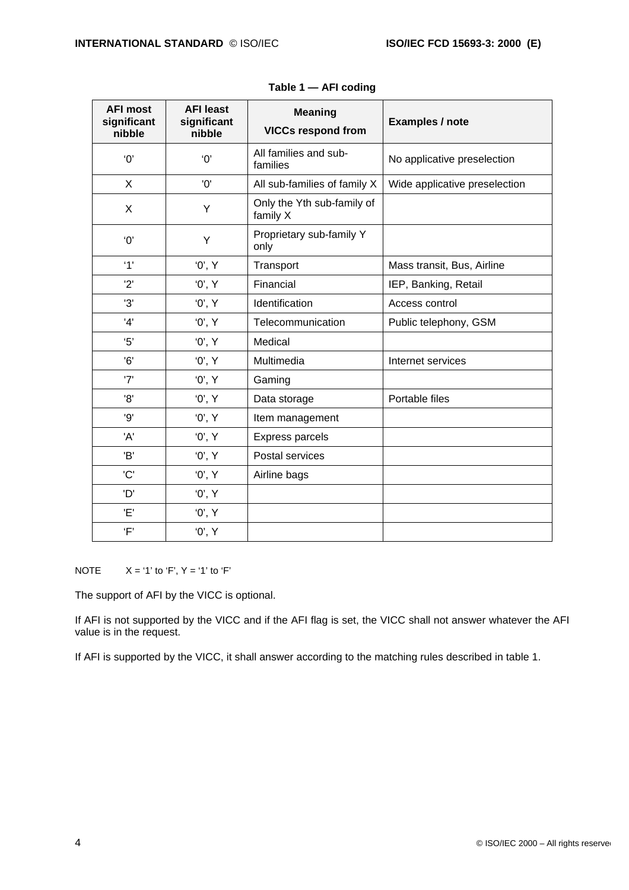| <b>AFI most</b><br>significant<br>nibble | <b>AFI least</b><br>significant<br>nibble | <b>Meaning</b><br><b>VICCs respond from</b> | Examples / note               |
|------------------------------------------|-------------------------------------------|---------------------------------------------|-------------------------------|
| $^{\prime}0^{\prime}$                    | $^{\prime}0^{\prime}$                     | All families and sub-<br>families           | No applicative preselection   |
| X                                        | '0'                                       | All sub-families of family X                | Wide applicative preselection |
| X                                        | Υ                                         | Only the Yth sub-family of<br>family X      |                               |
| $^{\prime}0^{\prime}$                    | Υ                                         | Proprietary sub-family Y<br>only            |                               |
| '1'                                      | '0', Y                                    | Transport                                   | Mass transit, Bus, Airline    |
| '2'                                      | '0', Y                                    | Financial                                   | IEP, Banking, Retail          |
| '3'                                      | '0', Y                                    | Identification                              | Access control                |
| '4'                                      | '0', Y                                    | Telecommunication                           | Public telephony, GSM         |
| 5'                                       | '0', Y                                    | Medical                                     |                               |
| 6'                                       | '0', Y                                    | Multimedia                                  | Internet services             |
| '7'                                      | '0', Y                                    | Gaming                                      |                               |
| '8'                                      | '0', Y                                    | Data storage                                | Portable files                |
| '9'                                      | '0', Y                                    | Item management                             |                               |
| 'A'                                      | '0', Y                                    | <b>Express parcels</b>                      |                               |
| 'B'                                      | '0', Y                                    | Postal services                             |                               |
| 'C'                                      | '0', Y                                    | Airline bags                                |                               |
| 'D'                                      | '0', Y                                    |                                             |                               |
| 'E'                                      | '0', Y                                    |                                             |                               |
| 'F'                                      | '0', Y                                    |                                             |                               |

| Table 1 — AFI coding |  |  |
|----------------------|--|--|
|----------------------|--|--|

NOTE  $X = '1'$  to 'F',  $Y = '1'$  to 'F'

The support of AFI by the VICC is optional.

If AFI is not supported by the VICC and if the AFI flag is set, the VICC shall not answer whatever the AFI value is in the request.

If AFI is supported by the VICC, it shall answer according to the matching rules described in table 1.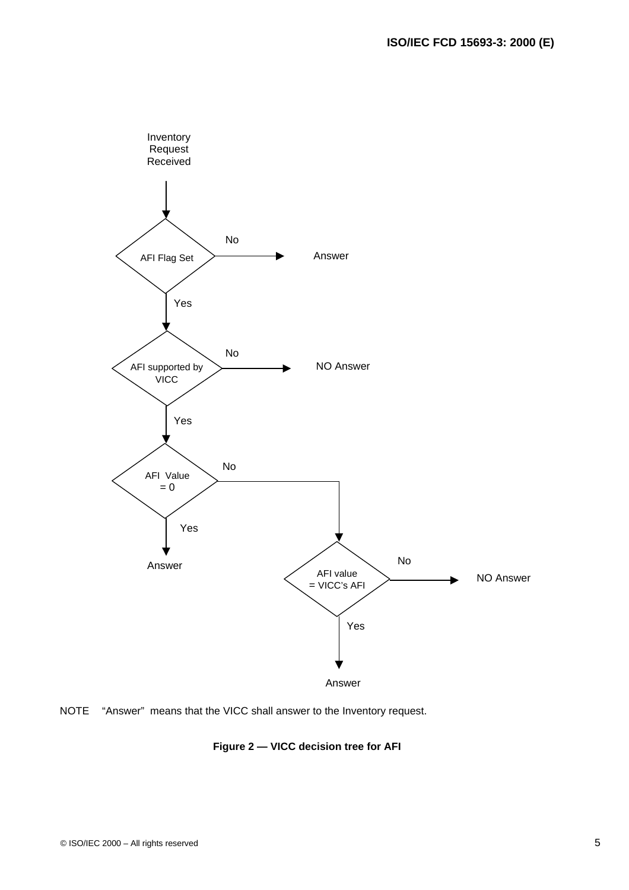

NOTE "Answer" means that the VICC shall answer to the Inventory request.

### **Figure 2 — VICC decision tree for AFI**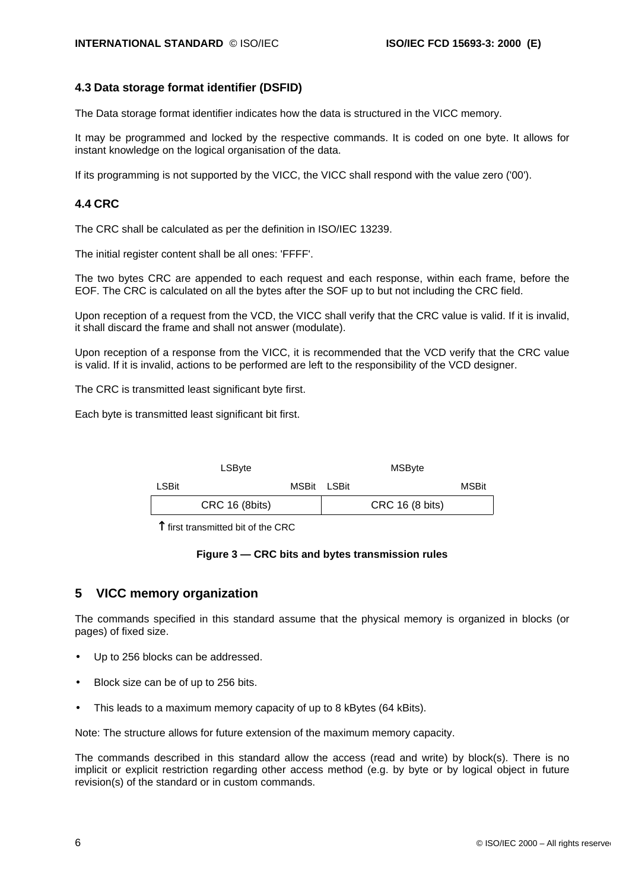#### **4.3 Data storage format identifier (DSFID)**

The Data storage format identifier indicates how the data is structured in the VICC memory.

It may be programmed and locked by the respective commands. It is coded on one byte. It allows for instant knowledge on the logical organisation of the data.

If its programming is not supported by the VICC, the VICC shall respond with the value zero ('00').

#### **4.4 CRC**

The CRC shall be calculated as per the definition in ISO/IEC 13239.

The initial register content shall be all ones: 'FFFF'.

The two bytes CRC are appended to each request and each response, within each frame, before the EOF. The CRC is calculated on all the bytes after the SOF up to but not including the CRC field.

Upon reception of a request from the VCD, the VICC shall verify that the CRC value is valid. If it is invalid, it shall discard the frame and shall not answer (modulate).

Upon reception of a response from the VICC, it is recommended that the VCD verify that the CRC value is valid. If it is invalid, actions to be performed are left to the responsibility of the VCD designer.

The CRC is transmitted least significant byte first.

Each byte is transmitted least significant bit first.

|                      | LSByte                |             | MSByte |                 |       |
|----------------------|-----------------------|-------------|--------|-----------------|-------|
| <b>LSBit</b>         |                       | MSBit LSBit |        |                 | MSBit |
|                      | <b>CRC 16 (8bits)</b> |             |        | CRC 16 (8 bits) |       |
| $\ddot{\phantom{a}}$ |                       |             |        |                 |       |

 $\uparrow$  first transmitted bit of the CRC

#### **Figure 3 — CRC bits and bytes transmission rules**

### **5 VICC memory organization**

The commands specified in this standard assume that the physical memory is organized in blocks (or pages) of fixed size.

- Up to 256 blocks can be addressed.
- Block size can be of up to 256 bits.
- This leads to a maximum memory capacity of up to 8 kBytes (64 kBits).

Note: The structure allows for future extension of the maximum memory capacity.

The commands described in this standard allow the access (read and write) by block(s). There is no implicit or explicit restriction regarding other access method (e.g. by byte or by logical object in future revision(s) of the standard or in custom commands.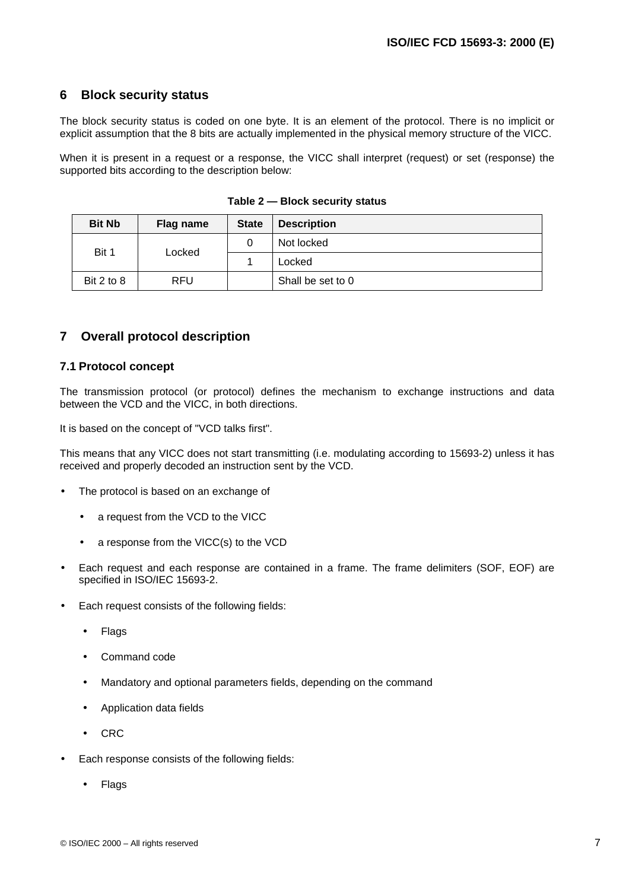### **6 Block security status**

The block security status is coded on one byte. It is an element of the protocol. There is no implicit or explicit assumption that the 8 bits are actually implemented in the physical memory structure of the VICC.

When it is present in a request or a response, the VICC shall interpret (request) or set (response) the supported bits according to the description below:

| <b>Bit Nb</b> | Flag name  | <b>State</b> | <b>Description</b> |
|---------------|------------|--------------|--------------------|
| Bit 1         | Locked     | 0            | Not locked         |
|               |            |              | Locked             |
| Bit 2 to 8    | <b>RFU</b> |              | Shall be set to 0  |

|  | Table 2 - Block security status |  |
|--|---------------------------------|--|
|--|---------------------------------|--|

### **7 Overall protocol description**

#### **7.1 Protocol concept**

The transmission protocol (or protocol) defines the mechanism to exchange instructions and data between the VCD and the VICC, in both directions.

It is based on the concept of "VCD talks first".

This means that any VICC does not start transmitting (i.e. modulating according to 15693-2) unless it has received and properly decoded an instruction sent by the VCD.

- The protocol is based on an exchange of
	- a request from the VCD to the VICC
	- a response from the VICC(s) to the VCD
- Each request and each response are contained in a frame. The frame delimiters (SOF, EOF) are specified in ISO/IEC 15693-2.
- Each request consists of the following fields:
	- Flags
	- Command code
	- Mandatory and optional parameters fields, depending on the command
	- Application data fields
	- CRC
- Each response consists of the following fields:
	- Flags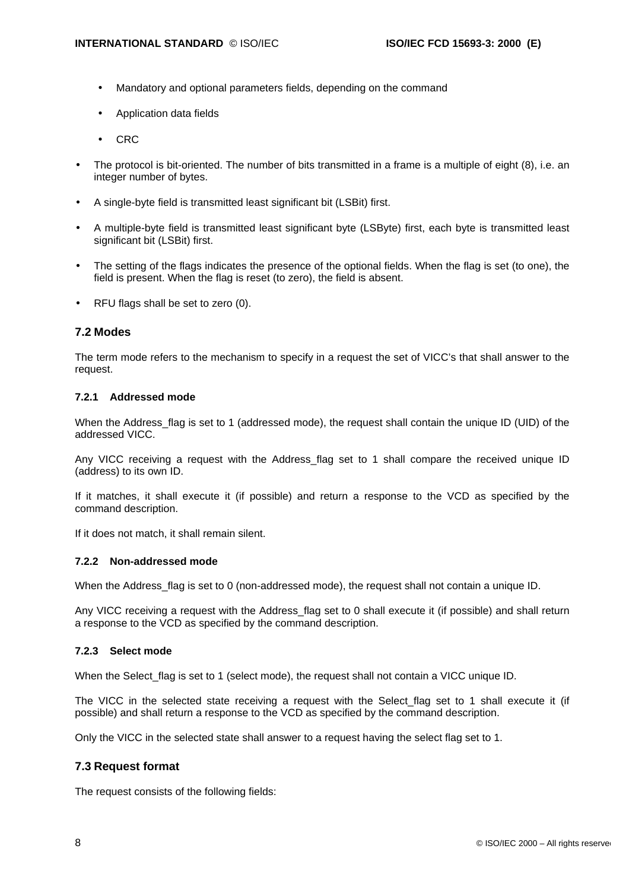- Mandatory and optional parameters fields, depending on the command
- Application data fields
- CRC
- The protocol is bit-oriented. The number of bits transmitted in a frame is a multiple of eight (8), i.e. an integer number of bytes.
- A single-byte field is transmitted least significant bit (LSBit) first.
- A multiple-byte field is transmitted least significant byte (LSByte) first, each byte is transmitted least significant bit (LSBit) first.
- The setting of the flags indicates the presence of the optional fields. When the flag is set (to one), the field is present. When the flag is reset (to zero), the field is absent.
- RFU flags shall be set to zero (0).

#### **7.2 Modes**

The term mode refers to the mechanism to specify in a request the set of VICC's that shall answer to the request.

#### **7.2.1 Addressed mode**

When the Address flag is set to 1 (addressed mode), the request shall contain the unique ID (UID) of the addressed VICC.

Any VICC receiving a request with the Address flag set to 1 shall compare the received unique ID (address) to its own ID.

If it matches, it shall execute it (if possible) and return a response to the VCD as specified by the command description.

If it does not match, it shall remain silent.

#### **7.2.2 Non-addressed mode**

When the Address flag is set to 0 (non-addressed mode), the request shall not contain a unique ID.

Any VICC receiving a request with the Address flag set to 0 shall execute it (if possible) and shall return a response to the VCD as specified by the command description.

#### **7.2.3 Select mode**

When the Select\_flag is set to 1 (select mode), the request shall not contain a VICC unique ID.

The VICC in the selected state receiving a request with the Select flag set to 1 shall execute it (if possible) and shall return a response to the VCD as specified by the command description.

Only the VICC in the selected state shall answer to a request having the select flag set to 1.

#### **7.3 Request format**

The request consists of the following fields: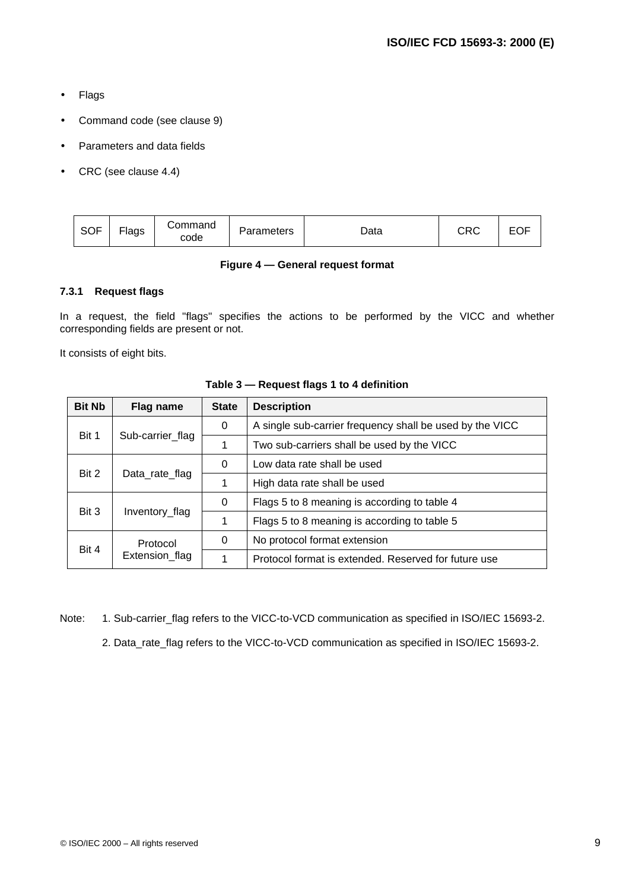- Flags
- Command code (see clause 9)
- Parameters and data fields
- CRC (see clause 4.4)

| <b>SOF</b> | --<br>Flags | Command<br>code | Parameters | Data | rnr.<br>しへし | ◡◡ |
|------------|-------------|-----------------|------------|------|-------------|----|
|------------|-------------|-----------------|------------|------|-------------|----|

### **Figure 4 — General request format**

#### **7.3.1 Request flags**

In a request, the field "flags" specifies the actions to be performed by the VICC and whether corresponding fields are present or not.

It consists of eight bits.

| <b>Bit Nb</b> | Flag name                  | <b>State</b> | <b>Description</b>                                       |
|---------------|----------------------------|--------------|----------------------------------------------------------|
|               |                            | 0            | A single sub-carrier frequency shall be used by the VICC |
| Bit 1         | Sub-carrier_flag           | 1            | Two sub-carriers shall be used by the VICC               |
| Bit 2         | Data_rate_flag             | 0            | Low data rate shall be used                              |
|               |                            |              | High data rate shall be used                             |
| Bit 3         | Inventory_flag             | 0            | Flags 5 to 8 meaning is according to table 4             |
|               |                            |              | Flags 5 to 8 meaning is according to table 5             |
| Bit 4         | Protocol<br>Extension_flag | 0            | No protocol format extension                             |
|               |                            | 1            | Protocol format is extended. Reserved for future use     |

#### **Table 3 — Request flags 1 to 4 definition**

Note: 1. Sub-carrier\_flag refers to the VICC-to-VCD communication as specified in ISO/IEC 15693-2. 2. Data\_rate\_flag refers to the VICC-to-VCD communication as specified in ISO/IEC 15693-2.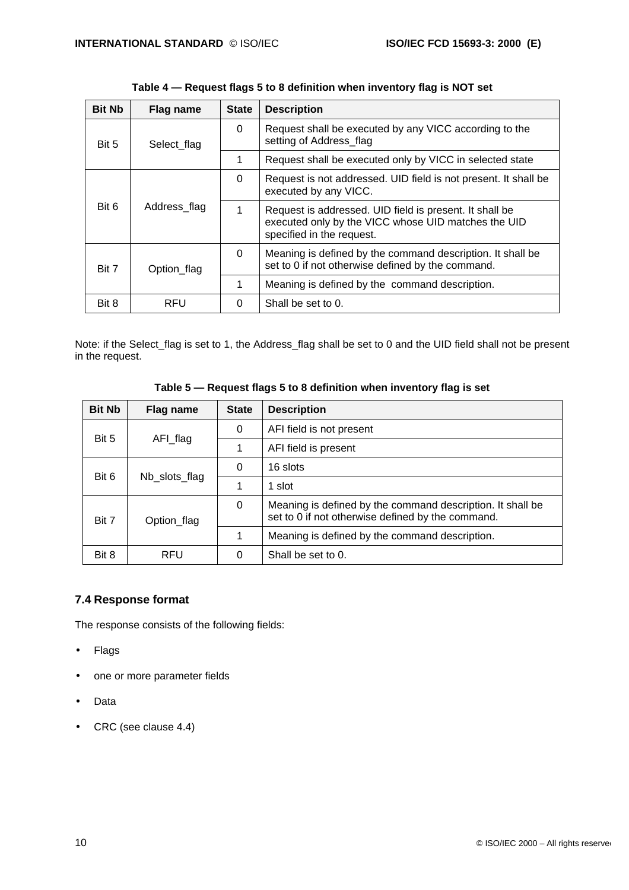| <b>Bit Nb</b> | Flag name    | <b>State</b> | <b>Description</b>                                                                                                                          |
|---------------|--------------|--------------|---------------------------------------------------------------------------------------------------------------------------------------------|
| Bit 5         | Select flag  | 0            | Request shall be executed by any VICC according to the<br>setting of Address flag                                                           |
|               |              | 1            | Request shall be executed only by VICC in selected state                                                                                    |
| Bit 6         | Address flag | 0            | Request is not addressed. UID field is not present. It shall be<br>executed by any VICC.                                                    |
|               |              | 1            | Request is addressed. UID field is present. It shall be<br>executed only by the VICC whose UID matches the UID<br>specified in the request. |
| Bit 7         | Option_flag  | $\Omega$     | Meaning is defined by the command description. It shall be<br>set to 0 if not otherwise defined by the command.                             |
|               |              | 1            | Meaning is defined by the command description.                                                                                              |
| Bit 8         | <b>RFU</b>   | 0            | Shall be set to 0.                                                                                                                          |

Note: if the Select\_flag is set to 1, the Address\_flag shall be set to 0 and the UID field shall not be present in the request.

| Table 5 — Request flags 5 to 8 definition when inventory flag is set |  |  |
|----------------------------------------------------------------------|--|--|
|----------------------------------------------------------------------|--|--|

| <b>Bit Nb</b>          | Flag name   | <b>State</b> | <b>Description</b>                                                                                              |
|------------------------|-------------|--------------|-----------------------------------------------------------------------------------------------------------------|
|                        |             | 0            | AFI field is not present                                                                                        |
| Bit 5                  | AFI_flag    |              | AFI field is present                                                                                            |
| Bit 6<br>Nb_slots_flag | 0           | 16 slots     |                                                                                                                 |
|                        |             | 1            | 1 slot                                                                                                          |
| Bit 7                  | Option_flag | 0            | Meaning is defined by the command description. It shall be<br>set to 0 if not otherwise defined by the command. |
|                        |             | 1            | Meaning is defined by the command description.                                                                  |
| Bit 8                  | RFU         | 0            | Shall be set to 0.                                                                                              |

### **7.4 Response format**

The response consists of the following fields:

- Flags
- one or more parameter fields
- Data
- CRC (see clause 4.4)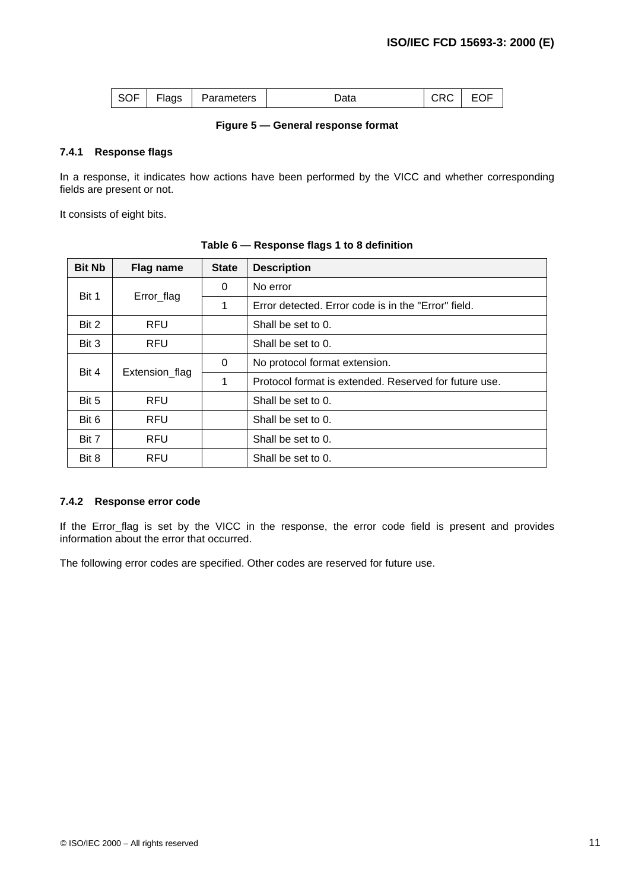| $\sim$ $\sim$ $\sim$<br>Flags<br>SOF | Parameters | Data | - - | --<br>◡ |
|--------------------------------------|------------|------|-----|---------|
|--------------------------------------|------------|------|-----|---------|

#### **Figure 5 — General response format**

#### **7.4.1 Response flags**

In a response, it indicates how actions have been performed by the VICC and whether corresponding fields are present or not.

It consists of eight bits.

| <b>Bit Nb</b> | Flag name      | <b>State</b> | <b>Description</b>                                    |
|---------------|----------------|--------------|-------------------------------------------------------|
|               | Error_flag     | 0            | No error                                              |
| Bit 1         |                | 1            | Error detected. Error code is in the "Error" field.   |
| Bit 2         | <b>RFU</b>     |              | Shall be set to 0.                                    |
| Bit 3         | <b>RFU</b>     |              | Shall be set to 0.                                    |
| Bit 4         | Extension_flag | 0            | No protocol format extension.                         |
|               |                | 1            | Protocol format is extended. Reserved for future use. |
| Bit 5         | <b>RFU</b>     |              | Shall be set to $0$ .                                 |
| Bit 6         | <b>RFU</b>     |              | Shall be set to 0.                                    |
| Bit 7         | <b>RFU</b>     |              | Shall be set to 0.                                    |
| Bit 8         | <b>RFU</b>     |              | Shall be set to 0.                                    |

**Table 6 — Response flags 1 to 8 definition**

#### **7.4.2 Response error code**

If the Error\_flag is set by the VICC in the response, the error code field is present and provides information about the error that occurred.

The following error codes are specified. Other codes are reserved for future use.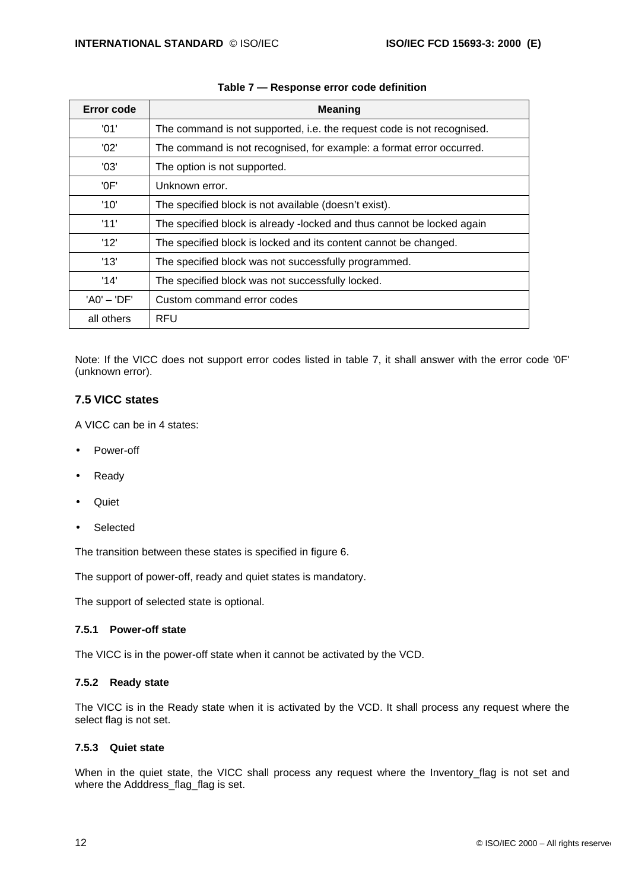| Error code    | <b>Meaning</b>                                                         |
|---------------|------------------------------------------------------------------------|
| '01'          | The command is not supported, i.e. the request code is not recognised. |
| '02'          | The command is not recognised, for example: a format error occurred.   |
| '03'          | The option is not supported.                                           |
| 'OF'          | Unknown error.                                                         |
| '10'          | The specified block is not available (doesn't exist).                  |
| '11'          | The specified block is already -locked and thus cannot be locked again |
| '12'          | The specified block is locked and its content cannot be changed.       |
| '13'          | The specified block was not successfully programmed.                   |
| '14'          | The specified block was not successfully locked.                       |
| $'AO' - 'DF'$ | Custom command error codes                                             |
| all others    | RFU                                                                    |

### **Table 7 — Response error code definition**

Note: If the VICC does not support error codes listed in table 7, it shall answer with the error code '0F' (unknown error).

### **7.5 VICC states**

A VICC can be in 4 states:

- Power-off
- Ready
- Quiet
- Selected

The transition between these states is specified in figure 6.

The support of power-off, ready and quiet states is mandatory.

The support of selected state is optional.

#### **7.5.1 Power-off state**

The VICC is in the power-off state when it cannot be activated by the VCD.

#### **7.5.2 Ready state**

The VICC is in the Ready state when it is activated by the VCD. It shall process any request where the select flag is not set.

#### **7.5.3 Quiet state**

When in the quiet state, the VICC shall process any request where the Inventory flag is not set and where the Adddress\_flag\_flag is set.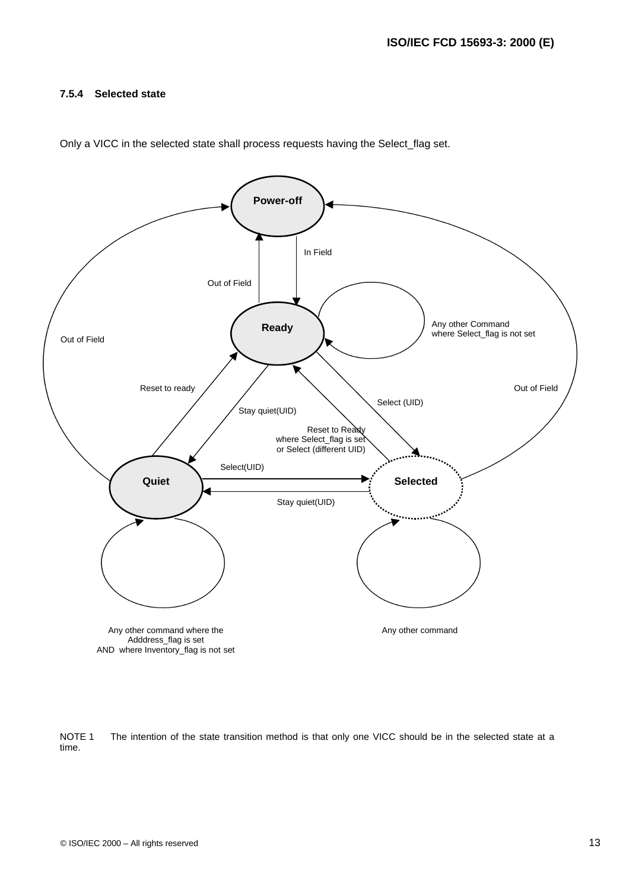#### **7.5.4 Selected state**



Only a VICC in the selected state shall process requests having the Select\_flag set.

NOTE 1 The intention of the state transition method is that only one VICC should be in the selected state at a time.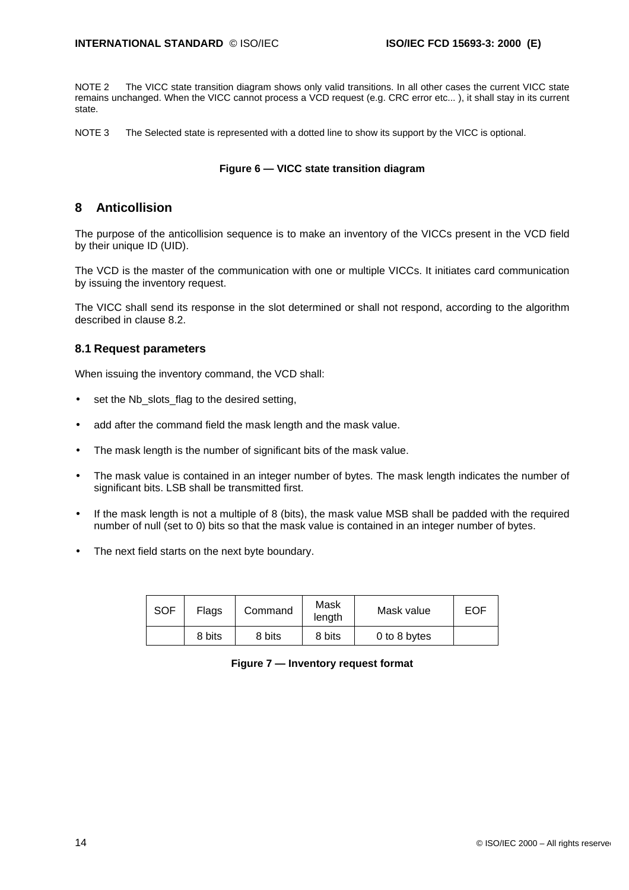NOTE 2 The VICC state transition diagram shows only valid transitions. In all other cases the current VICC state remains unchanged. When the VICC cannot process a VCD request (e.g. CRC error etc... ), it shall stay in its current state.

NOTE 3 The Selected state is represented with a dotted line to show its support by the VICC is optional.

#### **Figure 6 — VICC state transition diagram**

### **8 Anticollision**

The purpose of the anticollision sequence is to make an inventory of the VICCs present in the VCD field by their unique ID (UID).

The VCD is the master of the communication with one or multiple VICCs. It initiates card communication by issuing the inventory request.

The VICC shall send its response in the slot determined or shall not respond, according to the algorithm described in clause 8.2.

#### **8.1 Request parameters**

When issuing the inventory command, the VCD shall:

- set the Nb slots flag to the desired setting,
- add after the command field the mask length and the mask value.
- The mask length is the number of significant bits of the mask value.
- The mask value is contained in an integer number of bytes. The mask length indicates the number of significant bits. LSB shall be transmitted first.
- If the mask length is not a multiple of 8 (bits), the mask value MSB shall be padded with the required number of null (set to 0) bits so that the mask value is contained in an integer number of bytes.
- The next field starts on the next byte boundary.

| <b>SOF</b> | Flags  | Command | Mask<br>length | Mask value   | <b>EOF</b> |
|------------|--------|---------|----------------|--------------|------------|
|            | 8 bits | 8 bits  | 8 bits         | 0 to 8 bytes |            |

#### **Figure 7 — Inventory request format**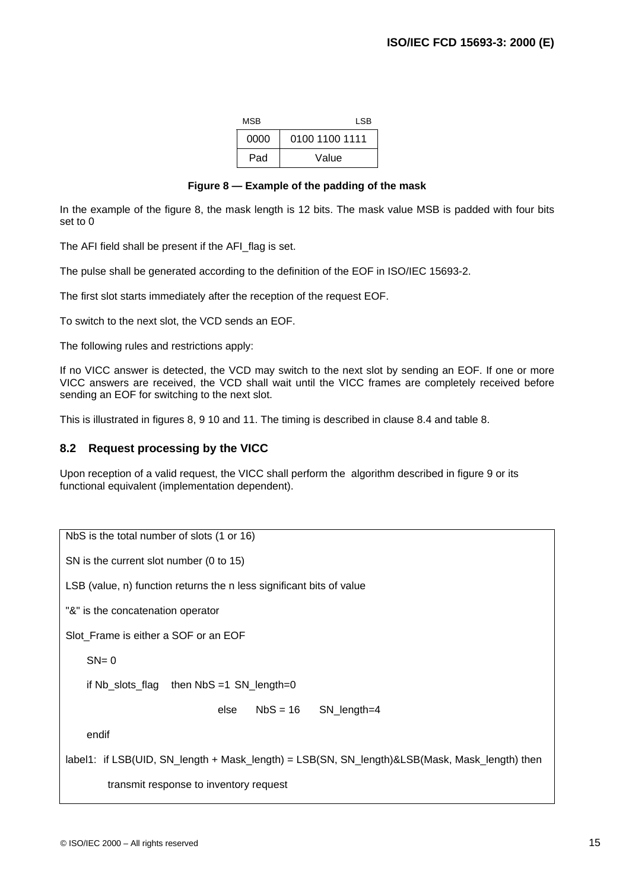| MSB  | LSB.           |
|------|----------------|
| 0000 | 0100 1100 1111 |
| Pad  | Value          |

#### **Figure 8 — Example of the padding of the mask**

In the example of the figure 8, the mask length is 12 bits. The mask value MSB is padded with four bits set to 0

The AFI field shall be present if the AFI\_flag is set.

The pulse shall be generated according to the definition of the EOF in ISO/IEC 15693-2.

The first slot starts immediately after the reception of the request EOF.

To switch to the next slot, the VCD sends an EOF.

The following rules and restrictions apply:

If no VICC answer is detected, the VCD may switch to the next slot by sending an EOF. If one or more VICC answers are received, the VCD shall wait until the VICC frames are completely received before sending an EOF for switching to the next slot.

This is illustrated in figures 8, 9 10 and 11. The timing is described in clause 8.4 and table 8.

### **8.2 Request processing by the VICC**

Upon reception of a valid request, the VICC shall perform the algorithm described in figure 9 or its functional equivalent (implementation dependent).

NbS is the total number of slots (1 or 16) SN is the current slot number (0 to 15) LSB (value, n) function returns the n less significant bits of value "&" is the concatenation operator Slot Frame is either a SOF or an EOF  $SN = 0$ if Nb slots flag then  $NbS = 1$  SN length=0 else NbS = 16 SN\_length=4 endif label1: if LSB(UID, SN\_length + Mask\_length) = LSB(SN, SN\_length)&LSB(Mask, Mask\_length) then transmit response to inventory request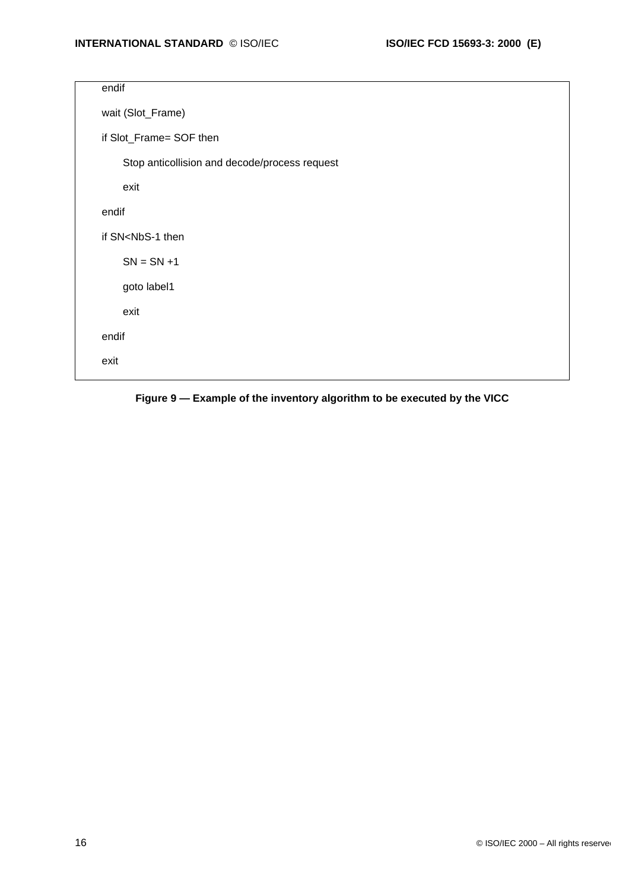| endif                                         |
|-----------------------------------------------|
| wait (Slot_Frame)                             |
| if Slot_Frame= SOF then                       |
| Stop anticollision and decode/process request |
| exit                                          |
| endif                                         |
| if SN <nbs-1 th="" then<=""></nbs-1>          |
| $SN = SN + 1$                                 |
| goto label1                                   |
| exit                                          |
| endif                                         |
| exit                                          |
|                                               |

**Figure 9 — Example of the inventory algorithm to be executed by the VICC**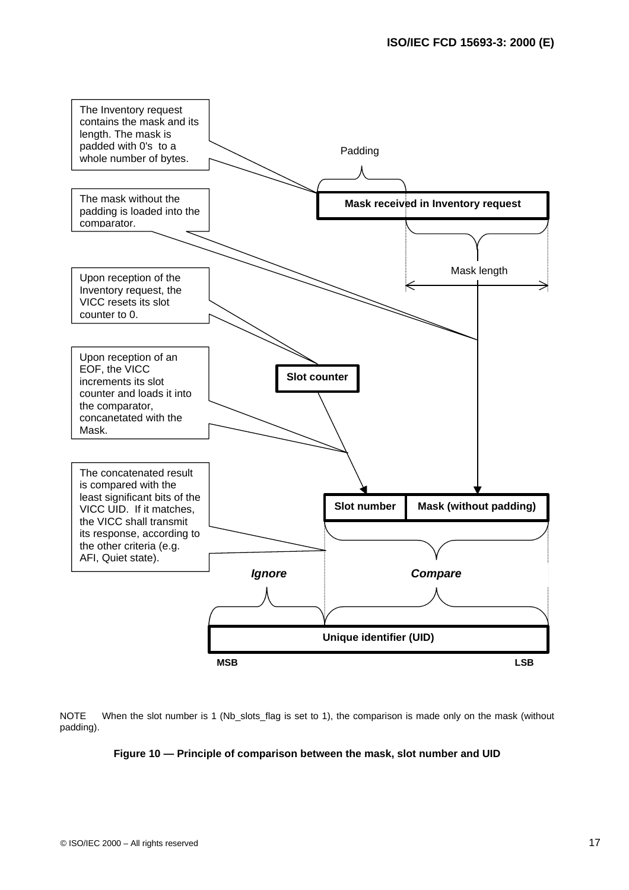

NOTE When the slot number is 1 (Nb\_slots\_flag is set to 1), the comparison is made only on the mask (without padding).

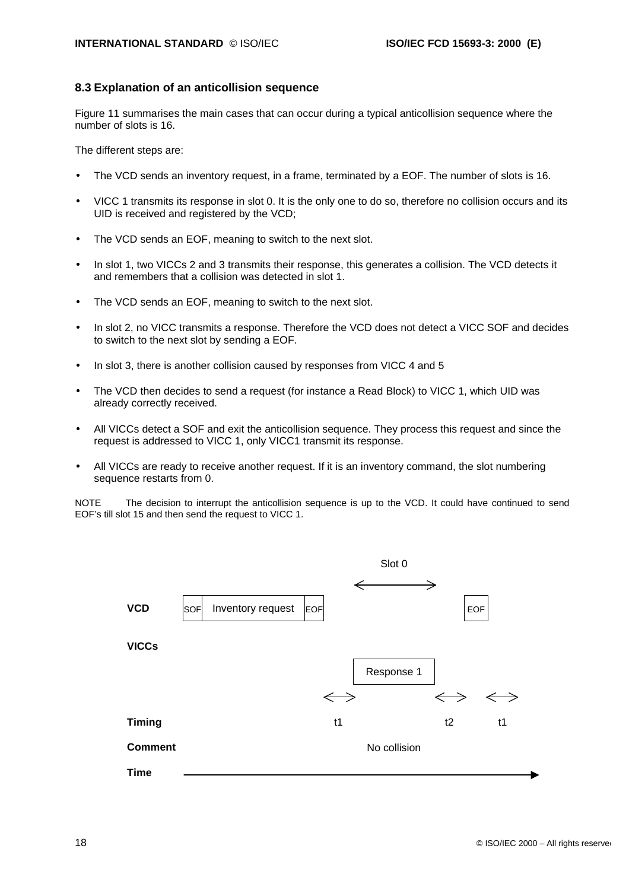#### **8.3 Explanation of an anticollision sequence**

Figure 11 summarises the main cases that can occur during a typical anticollision sequence where the number of slots is 16.

The different steps are:

- The VCD sends an inventory request, in a frame, terminated by a EOF. The number of slots is 16.
- VICC 1 transmits its response in slot 0. It is the only one to do so, therefore no collision occurs and its UID is received and registered by the VCD;
- The VCD sends an EOF, meaning to switch to the next slot.
- In slot 1, two VICCs 2 and 3 transmits their response, this generates a collision. The VCD detects it and remembers that a collision was detected in slot 1.
- The VCD sends an EOF, meaning to switch to the next slot.
- In slot 2, no VICC transmits a response. Therefore the VCD does not detect a VICC SOF and decides to switch to the next slot by sending a EOF.
- In slot 3, there is another collision caused by responses from VICC 4 and 5
- The VCD then decides to send a request (for instance a Read Block) to VICC 1, which UID was already correctly received.
- All VICCs detect a SOF and exit the anticollision sequence. They process this request and since the request is addressed to VICC 1, only VICC1 transmit its response.
- All VICCs are ready to receive another request. If it is an inventory command, the slot numbering sequence restarts from 0.

NOTE The decision to interrupt the anticollision sequence is up to the VCD. It could have continued to send EOF's till slot 15 and then send the request to VICC 1.

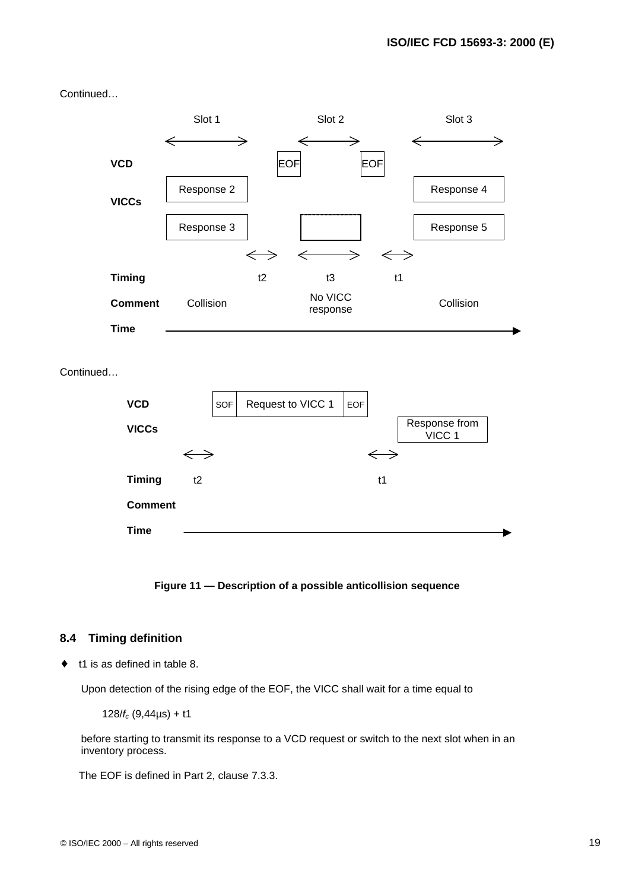Continued…







### **8.4 Timing definition**

♦ t1 is as defined in table 8.

Upon detection of the rising edge of the EOF, the VICC shall wait for a time equal to

128/*fc* (9,44µs) + t1

before starting to transmit its response to a VCD request or switch to the next slot when in an inventory process.

The EOF is defined in Part 2, clause 7.3.3.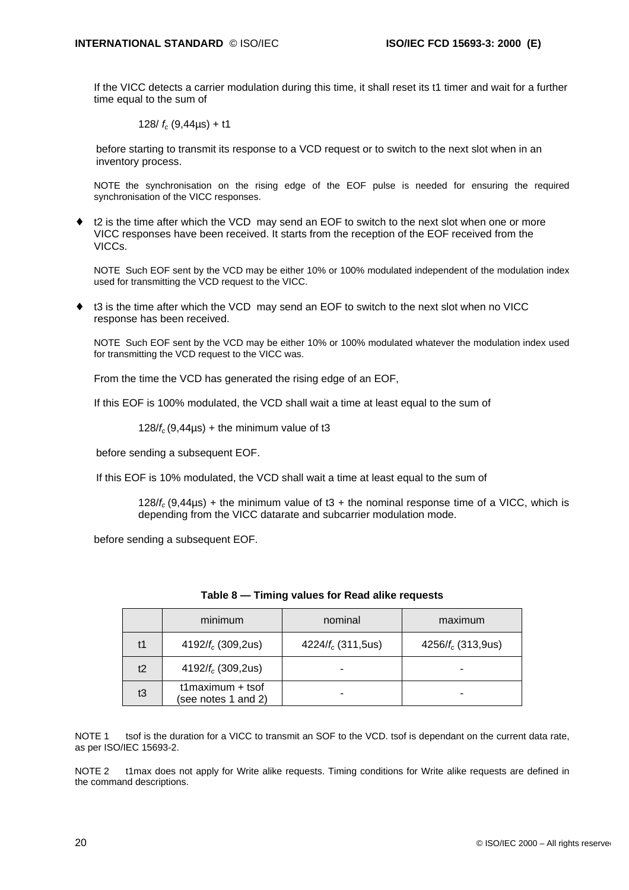If the VICC detects a carrier modulation during this time, it shall reset its t1 timer and wait for a further time equal to the sum of

128/ *fc* (9,44µs) + t1

before starting to transmit its response to a VCD request or to switch to the next slot when in an inventory process.

NOTE the synchronisation on the rising edge of the EOF pulse is needed for ensuring the required synchronisation of the VICC responses.

t2 is the time after which the VCD may send an EOF to switch to the next slot when one or more VICC responses have been received. It starts from the reception of the EOF received from the VICCs.

NOTE Such EOF sent by the VCD may be either 10% or 100% modulated independent of the modulation index used for transmitting the VCD request to the VICC.

t3 is the time after which the VCD may send an EOF to switch to the next slot when no VICC response has been received.

NOTE Such EOF sent by the VCD may be either 10% or 100% modulated whatever the modulation index used for transmitting the VCD request to the VICC was.

From the time the VCD has generated the rising edge of an EOF,

If this EOF is 100% modulated, the VCD shall wait a time at least equal to the sum of

 $128/f_c(9,44\mu s) +$  the minimum value of t3

before sending a subsequent EOF.

If this EOF is 10% modulated, the VCD shall wait a time at least equal to the sum of

128/ $f_c$  (9,44 $\mu$ s) + the minimum value of t3 + the nominal response time of a VICC, which is depending from the VICC datarate and subcarrier modulation mode.

before sending a subsequent EOF.

|    | minimum                                    | nominal               | maximum               |
|----|--------------------------------------------|-----------------------|-----------------------|
| t1 | 4192/ $f_c$ (309,2us)                      | 4224/ $f_c$ (311,5us) | 4256/ $f_c$ (313,9us) |
| t2 | 4192/ $f_c$ (309,2us)                      |                       |                       |
| t3 | $t1$ maximum + tsof<br>(see notes 1 and 2) |                       |                       |

|  |  |  | Table 8 - Timing values for Read alike requests |  |
|--|--|--|-------------------------------------------------|--|
|--|--|--|-------------------------------------------------|--|

NOTE 1 tsof is the duration for a VICC to transmit an SOF to the VCD, tsof is dependant on the current data rate, as per ISO/IEC 15693-2.

NOTE 2 t1max does not apply for Write alike requests. Timing conditions for Write alike requests are defined in the command descriptions.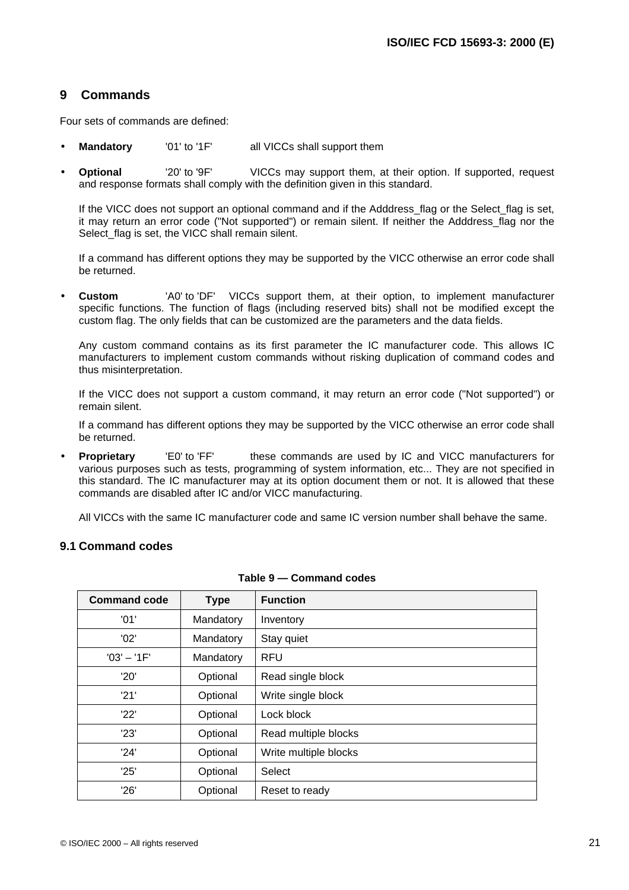### **9 Commands**

Four sets of commands are defined:

- **Mandatory** '01' to '1F' all VICCs shall support them
- **Optional** '20' to '9F' VICCs may support them, at their option. If supported, request and response formats shall comply with the definition given in this standard.

If the VICC does not support an optional command and if the Adddress\_flag or the Select\_flag is set, it may return an error code ("Not supported") or remain silent. If neither the Adddress\_flag nor the Select flag is set, the VICC shall remain silent.

If a command has different options they may be supported by the VICC otherwise an error code shall be returned.

• **Custom** 'A0' to 'DF' VICCs support them, at their option, to implement manufacturer specific functions. The function of flags (including reserved bits) shall not be modified except the custom flag. The only fields that can be customized are the parameters and the data fields.

Any custom command contains as its first parameter the IC manufacturer code. This allows IC manufacturers to implement custom commands without risking duplication of command codes and thus misinterpretation.

If the VICC does not support a custom command, it may return an error code ("Not supported") or remain silent.

If a command has different options they may be supported by the VICC otherwise an error code shall be returned.

**Proprietary** 'E0' to 'FF' these commands are used by IC and VICC manufacturers for various purposes such as tests, programming of system information, etc... They are not specified in this standard. The IC manufacturer may at its option document them or not. It is allowed that these commands are disabled after IC and/or VICC manufacturing.

All VICCs with the same IC manufacturer code and same IC version number shall behave the same.

#### **9.1 Command codes**

| <b>Command code</b> | <b>Type</b> | <b>Function</b>       |
|---------------------|-------------|-----------------------|
| '01'                | Mandatory   | Inventory             |
| '02'                | Mandatory   | Stay quiet            |
| $'03' - '1F'$       | Mandatory   | <b>RFU</b>            |
| '20'                | Optional    | Read single block     |
| '21'                | Optional    | Write single block    |
| '22'                | Optional    | Lock block            |
| '23'                | Optional    | Read multiple blocks  |
| '24'                | Optional    | Write multiple blocks |
| '25'                | Optional    | Select                |
| '26'                | Optional    | Reset to ready        |

|  |  |  | Table 9 — Command codes |  |
|--|--|--|-------------------------|--|
|--|--|--|-------------------------|--|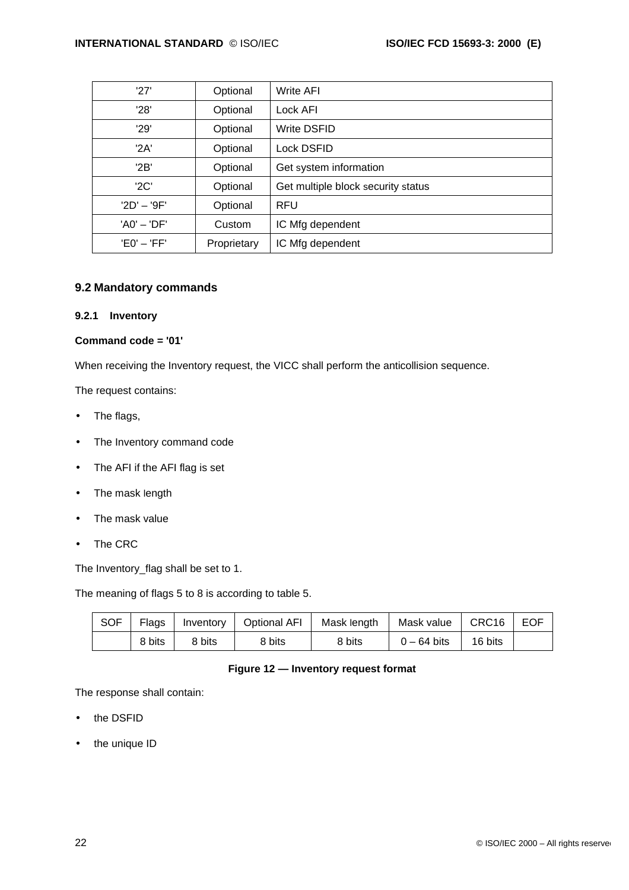| '27'          | Optional    | Write AFI                          |
|---------------|-------------|------------------------------------|
| '28'          | Optional    | Lock AFI                           |
| '29'          | Optional    | <b>Write DSFID</b>                 |
| '2A'          | Optional    | Lock DSFID                         |
| '2B'          | Optional    | Get system information             |
| '2C'          | Optional    | Get multiple block security status |
| $'2D' - '9F'$ | Optional    | <b>RFU</b>                         |
| $'AO' - 'DF'$ | Custom      | IC Mfg dependent                   |
| $'E0' - 'FF'$ | Proprietary | IC Mfg dependent                   |

#### **9.2 Mandatory commands**

#### **9.2.1 Inventory**

#### **Command code = '01'**

When receiving the Inventory request, the VICC shall perform the anticollision sequence.

The request contains:

- The flags,
- The Inventory command code
- The AFI if the AFI flag is set
- The mask length
- The mask value
- The CRC

The Inventory\_flag shall be set to 1.

The meaning of flags 5 to 8 is according to table 5.

| <b>SOF</b> | Flags  | Inventory | <b>Optional AFI</b> | Mask length | Mask value    | CRC <sub>16</sub> | <b>EOF</b> |
|------------|--------|-----------|---------------------|-------------|---------------|-------------------|------------|
|            | 8 bits | 8 bits    | 8 bits              | 8 bits      | $0 - 64$ bits | 16 bits           |            |

#### **Figure 12 — Inventory request format**

The response shall contain:

- the DSFID
- the unique ID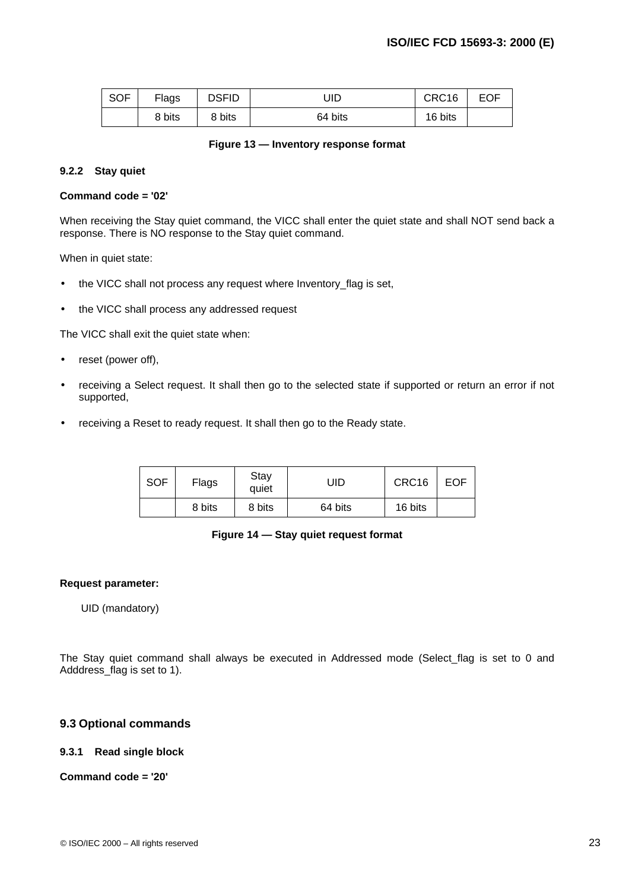| <b>SOF</b> | Flags  | <b>DSFID</b> | UID     | CRC16   | <b>EOF</b> |
|------------|--------|--------------|---------|---------|------------|
|            | 8 bits | 8 bits       | 64 bits | 16 bits |            |

#### **Figure 13 — Inventory response format**

#### **9.2.2 Stay quiet**

#### **Command code = '02'**

When receiving the Stay quiet command, the VICC shall enter the quiet state and shall NOT send back a response. There is NO response to the Stay quiet command.

When in quiet state:

- the VICC shall not process any request where Inventory flag is set,
- the VICC shall process any addressed request

The VICC shall exit the quiet state when:

- reset (power off),
- receiving a Select request. It shall then go to the selected state if supported or return an error if not supported,
- receiving a Reset to ready request. It shall then go to the Ready state.

| <b>SOF</b> | Flags  | Stay<br>quiet | JID     | CRC16   | <b>EOF</b> |
|------------|--------|---------------|---------|---------|------------|
|            | 8 bits | 8 bits        | 64 bits | 16 bits |            |

#### **Figure 14 — Stay quiet request format**

#### **Request parameter:**

UID (mandatory)

The Stay quiet command shall always be executed in Addressed mode (Select flag is set to 0 and Adddress flag is set to 1).

#### **9.3 Optional commands**

#### **9.3.1 Read single block**

#### **Command code = '20'**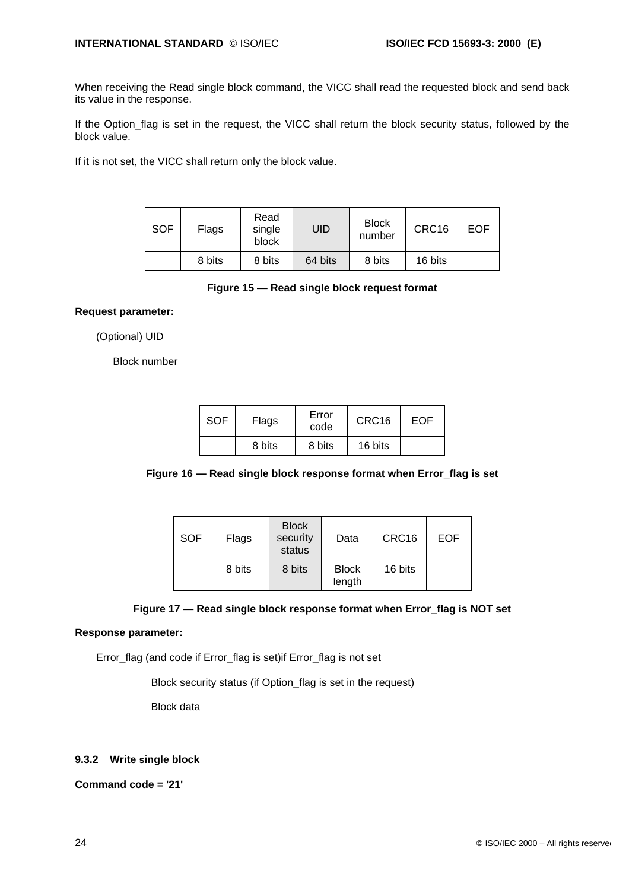When receiving the Read single block command, the VICC shall read the requested block and send back its value in the response.

If the Option\_flag is set in the request, the VICC shall return the block security status, followed by the block value.

If it is not set, the VICC shall return only the block value.

| <b>SOF</b> | Flags  | Read<br>single<br>block | UID     | <b>Block</b><br>number | CRC16   | EOF |
|------------|--------|-------------------------|---------|------------------------|---------|-----|
|            | 8 bits | 8 bits                  | 64 bits | 8 bits                 | 16 bits |     |

#### **Figure 15 — Read single block request format**

#### **Request parameter:**

(Optional) UID

Block number

| <b>SOF</b> | Flags  | Error<br>code | CRC16   | <b>EOF</b> |
|------------|--------|---------------|---------|------------|
|            | 8 bits | 8 bits        | 16 bits |            |



| <b>SOF</b> | Flags  | <b>Block</b><br>security<br>status | Data                   | CRC16   | <b>EOF</b> |
|------------|--------|------------------------------------|------------------------|---------|------------|
|            | 8 bits | 8 bits                             | <b>Block</b><br>length | 16 bits |            |

### **Figure 17 — Read single block response format when Error\_flag is NOT set**

### **Response parameter:**

Error\_flag (and code if Error\_flag is set)if Error\_flag is not set

Block security status (if Option\_flag is set in the request)

Block data

### **9.3.2 Write single block**

**Command code = '21'**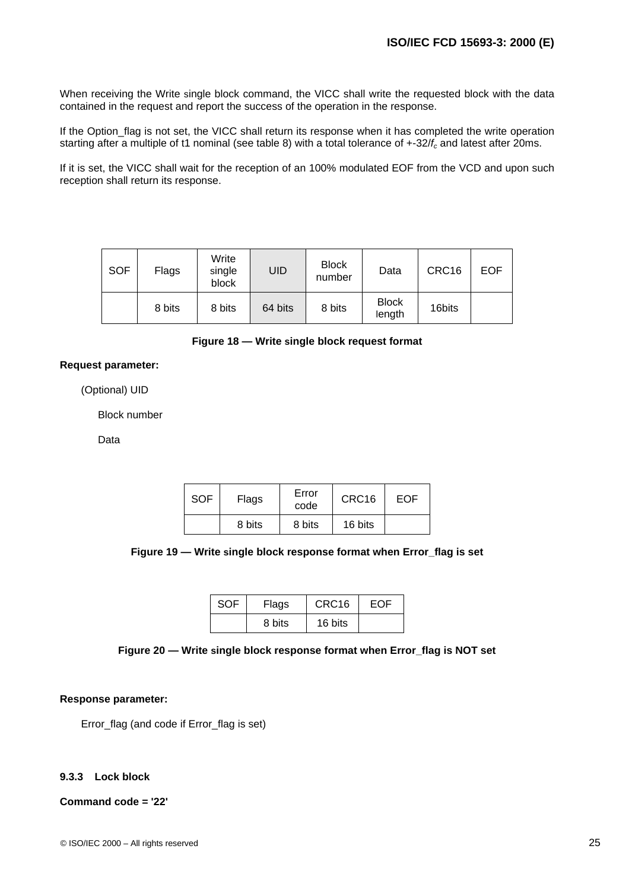When receiving the Write single block command, the VICC shall write the requested block with the data contained in the request and report the success of the operation in the response.

If the Option\_flag is not set, the VICC shall return its response when it has completed the write operation starting after a multiple of t1 nominal (see table 8) with a total tolerance of +-32/*fc* and latest after 20ms.

If it is set, the VICC shall wait for the reception of an 100% modulated EOF from the VCD and upon such reception shall return its response.

| <b>SOF</b> | Flags  | Write<br>single<br>block | UID     | <b>Block</b><br>number | Data                   | CRC16  | <b>EOF</b> |
|------------|--------|--------------------------|---------|------------------------|------------------------|--------|------------|
|            | 8 bits | 8 bits                   | 64 bits | 8 bits                 | <b>Block</b><br>length | 16bits |            |

**Figure 18 — Write single block request format**

#### **Request parameter:**

(Optional) UID

Block number

Data

| <b>SOF</b> | Flags  | Error<br>code |         | EOF |
|------------|--------|---------------|---------|-----|
|            | 8 bits | 8 bits        | 16 bits |     |

**Figure 19 — Write single block response format when Error\_flag is set**

| <b>SOF</b> | Flags  | CRC <sub>16</sub> | EOF |
|------------|--------|-------------------|-----|
|            | 8 bits | 16 bits           |     |

**Figure 20 — Write single block response format when Error\_flag is NOT set**

#### **Response parameter:**

Error\_flag (and code if Error\_flag is set)

#### **9.3.3 Lock block**

#### **Command code = '22'**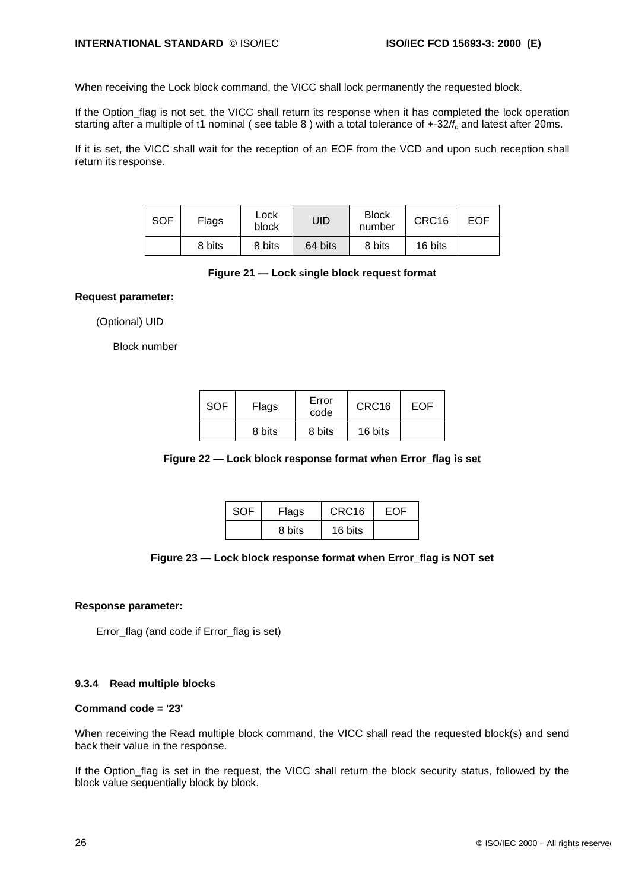When receiving the Lock block command, the VICC shall lock permanently the requested block.

If the Option flag is not set, the VICC shall return its response when it has completed the lock operation starting after a multiple of t1 nominal ( see table 8 ) with a total tolerance of +-32/*fc* and latest after 20ms.

If it is set, the VICC shall wait for the reception of an EOF from the VCD and upon such reception shall return its response.

| <b>SOF</b> | Flags  | Lock<br>block | JID     | <b>Block</b><br>number | CRC16   | EOF |
|------------|--------|---------------|---------|------------------------|---------|-----|
|            | 8 bits | 8 bits        | 64 bits | 8 bits                 | 16 bits |     |

#### **Figure 21 — Lock single block request format**

**Request parameter:**

(Optional) UID

Block number

| <b>SOF</b> | Flags  | Error<br>code | CRC <sub>16</sub> | EOF |
|------------|--------|---------------|-------------------|-----|
|            | 8 bits | 8 bits        | 16 bits           |     |

#### **Figure 22 — Lock block response format when Error\_flag is set**

| <b>SOF</b> | Flags  | CRC16   | FOF |
|------------|--------|---------|-----|
|            | 8 bits | 16 bits |     |

#### **Figure 23 — Lock block response format when Error\_flag is NOT set**

#### **Response parameter:**

Error\_flag (and code if Error\_flag is set)

#### **9.3.4 Read multiple blocks**

#### **Command code = '23'**

When receiving the Read multiple block command, the VICC shall read the requested block(s) and send back their value in the response.

If the Option flag is set in the request, the VICC shall return the block security status, followed by the block value sequentially block by block.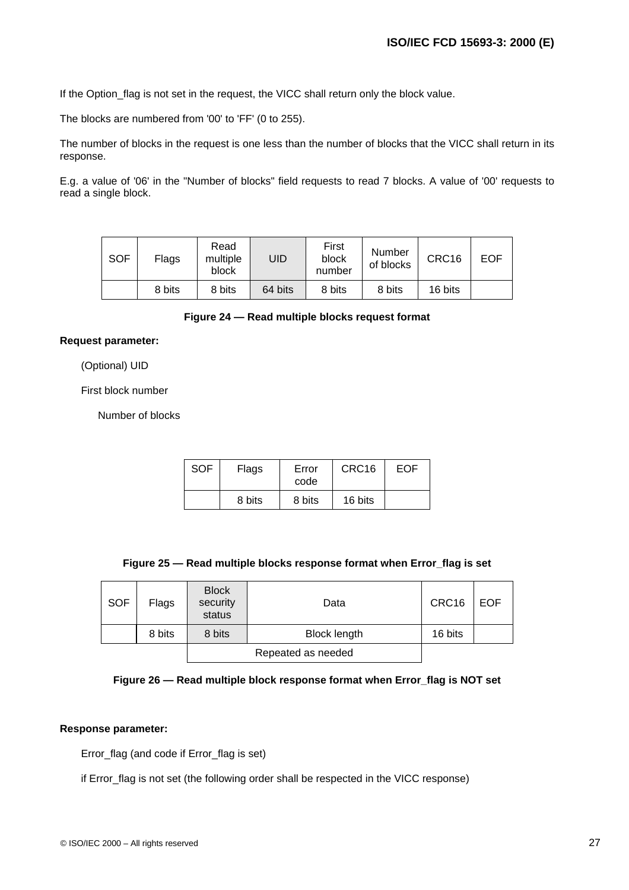If the Option\_flag is not set in the request, the VICC shall return only the block value.

The blocks are numbered from '00' to 'FF' (0 to 255).

The number of blocks in the request is one less than the number of blocks that the VICC shall return in its response.

E.g. a value of '06' in the "Number of blocks" field requests to read 7 blocks. A value of '00' requests to read a single block.

| <b>SOF</b> | Flags  | Read<br>multiple<br>block | UID     | First<br>block<br>number | Number<br>of blocks | CRC16   | <b>EOF</b> |
|------------|--------|---------------------------|---------|--------------------------|---------------------|---------|------------|
|            | 8 bits | 8 bits                    | 64 bits | 8 bits                   | 8 bits              | 16 bits |            |

#### **Figure 24 — Read multiple blocks request format**

#### **Request parameter:**

(Optional) UID

First block number

Number of blocks

| SOF | Flags  | Error<br>code | CRC <sub>16</sub> | EOF |
|-----|--------|---------------|-------------------|-----|
|     | 8 bits | 8 bits        | 16 bits           |     |

| Figure 25 - Read multiple blocks response format when Error_flag is set |  |  |  |  |  |  |
|-------------------------------------------------------------------------|--|--|--|--|--|--|
|-------------------------------------------------------------------------|--|--|--|--|--|--|

| <b>SOF</b> | Flags              | <b>Block</b><br>security<br>status | Data                | CRC16   | <b>EOF</b> |
|------------|--------------------|------------------------------------|---------------------|---------|------------|
|            | 8 bits             | 8 bits                             | <b>Block length</b> | 16 bits |            |
|            | Repeated as needed |                                    |                     |         |            |

#### **Figure 26 — Read multiple block response format when Error\_flag is NOT set**

#### **Response parameter:**

Error\_flag (and code if Error\_flag is set)

if Error\_flag is not set (the following order shall be respected in the VICC response)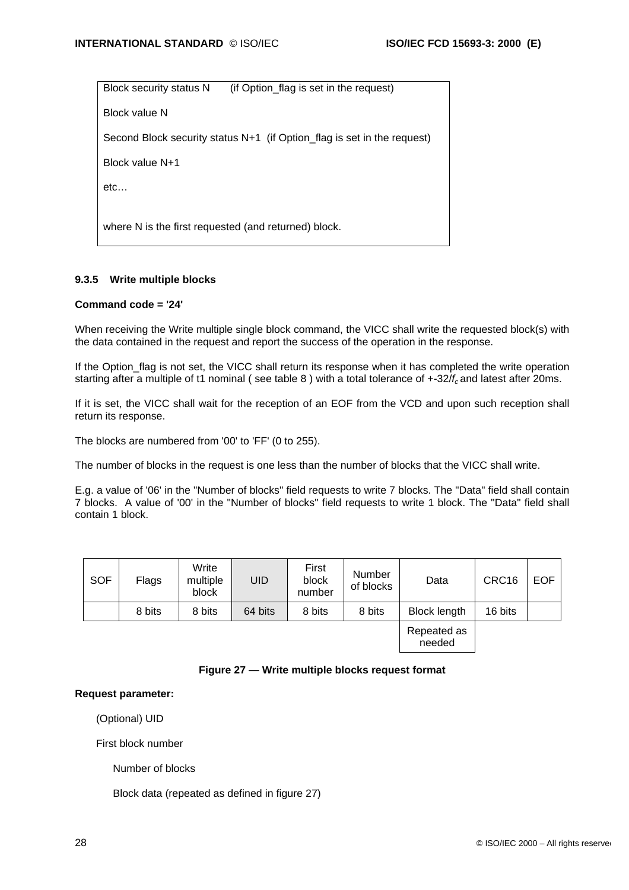Block security status N (if Option flag is set in the request)

Block value N

Second Block security status N+1 (if Option\_flag is set in the request)

Block value N+1

etc…

where N is the first requested (and returned) block.

#### **9.3.5 Write multiple blocks**

#### **Command code = '24'**

When receiving the Write multiple single block command, the VICC shall write the requested block(s) with the data contained in the request and report the success of the operation in the response.

If the Option flag is not set, the VICC shall return its response when it has completed the write operation starting after a multiple of t1 nominal ( see table 8 ) with a total tolerance of +-32/*f<sup>c</sup>* and latest after 20ms.

If it is set, the VICC shall wait for the reception of an EOF from the VCD and upon such reception shall return its response.

The blocks are numbered from '00' to 'FF' (0 to 255).

The number of blocks in the request is one less than the number of blocks that the VICC shall write.

E.g. a value of '06' in the "Number of blocks" field requests to write 7 blocks. The "Data" field shall contain 7 blocks. A value of '00' in the "Number of blocks" field requests to write 1 block. The "Data" field shall contain 1 block.

| <b>SOF</b> | Flags  | Write<br>multiple<br>block | UID     | First<br>block<br>number | <b>Number</b><br>of blocks | Data                  | CRC16   | <b>EOF</b> |
|------------|--------|----------------------------|---------|--------------------------|----------------------------|-----------------------|---------|------------|
|            | 8 bits | 8 bits                     | 64 bits | 8 bits                   | 8 bits                     | <b>Block length</b>   | 16 bits |            |
|            |        |                            |         |                          |                            | Repeated as<br>needed |         |            |

#### **Figure 27 — Write multiple blocks request format**

#### **Request parameter:**

(Optional) UID

First block number

Number of blocks

Block data (repeated as defined in figure 27)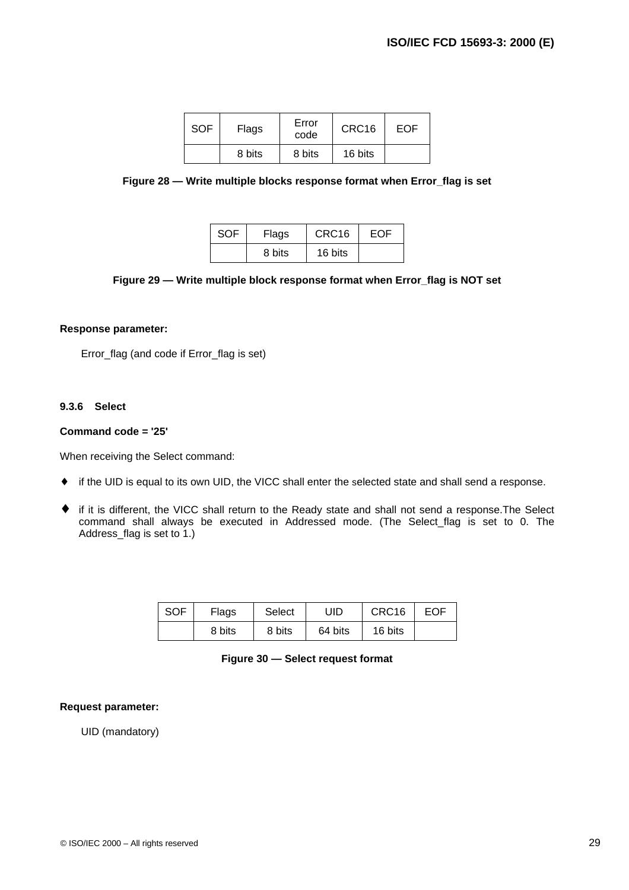| <b>SOF</b> | Flags  | Error<br>code | CRC <sub>16</sub> | EOF |
|------------|--------|---------------|-------------------|-----|
|            | 8 bits | 8 bits        | 16 bits           |     |

**Figure 28 — Write multiple blocks response format when Error\_flag is set**

| SOF | Flags  | CRC <sub>16</sub> | FOF |
|-----|--------|-------------------|-----|
|     | 8 bits | 16 bits           |     |

#### **Figure 29 — Write multiple block response format when Error\_flag is NOT set**

#### **Response parameter:**

Error\_flag (and code if Error\_flag is set)

#### **9.3.6 Select**

#### **Command code = '25'**

When receiving the Select command:

- ♦ if the UID is equal to its own UID, the VICC shall enter the selected state and shall send a response.
- ♦ if it is different, the VICC shall return to the Ready state and shall not send a response.The Select command shall always be executed in Addressed mode. (The Select\_flag is set to 0. The Address\_flag is set to 1.)

| <b>SOF</b> | Flags  | Select | UID     | CRC <sub>16</sub> | <b>EOF</b> |
|------------|--------|--------|---------|-------------------|------------|
|            | 8 bits | 8 bits | 64 bits | 16 bits           |            |

### **Figure 30 — Select request format**

#### **Request parameter:**

UID (mandatory)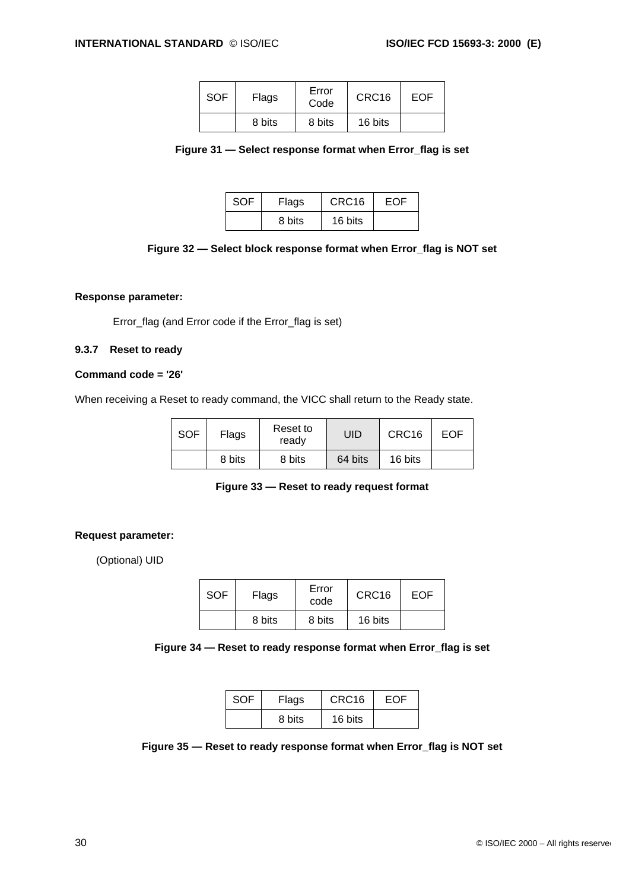| <b>SOF</b> | Flags  | Error<br>Code | CRC <sub>16</sub> | EOF |
|------------|--------|---------------|-------------------|-----|
|            | 8 bits | 8 bits        | 16 bits           |     |

| Figure 31 - Select response format when Error_flag is set |  |  |  |  |
|-----------------------------------------------------------|--|--|--|--|
|-----------------------------------------------------------|--|--|--|--|

| SOF | Flags  | CRC <sub>16</sub> | FOF |
|-----|--------|-------------------|-----|
|     | 8 bits | 16 bits           |     |

|  |  | Figure 32 — Select block response format when Error_flag is NOT set |  |  |  |
|--|--|---------------------------------------------------------------------|--|--|--|
|  |  |                                                                     |  |  |  |

#### **Response parameter:**

Error\_flag (and Error code if the Error\_flag is set)

#### **9.3.7 Reset to ready**

#### **Command code = '26'**

When receiving a Reset to ready command, the VICC shall return to the Ready state.

| <b>SOF</b> | Flags  | Reset to<br>ready | UID     | CRC <sub>16</sub> | EOF |
|------------|--------|-------------------|---------|-------------------|-----|
|            | 8 bits | 8 bits            | 64 bits | 16 bits           |     |

#### **Figure 33 — Reset to ready request format**

#### **Request parameter:**

(Optional) UID

| SOF | Flags  | Error<br>code | CRC <sub>16</sub> | EOF |
|-----|--------|---------------|-------------------|-----|
|     | 8 bits | 8 bits        | 16 bits           |     |

**Figure 34 — Reset to ready response format when Error\_flag is set**

| <b>SOF</b> | Flags  | CRC <sub>16</sub> | EOF |
|------------|--------|-------------------|-----|
|            | 8 bits | 16 bits           |     |

**Figure 35 — Reset to ready response format when Error\_flag is NOT set**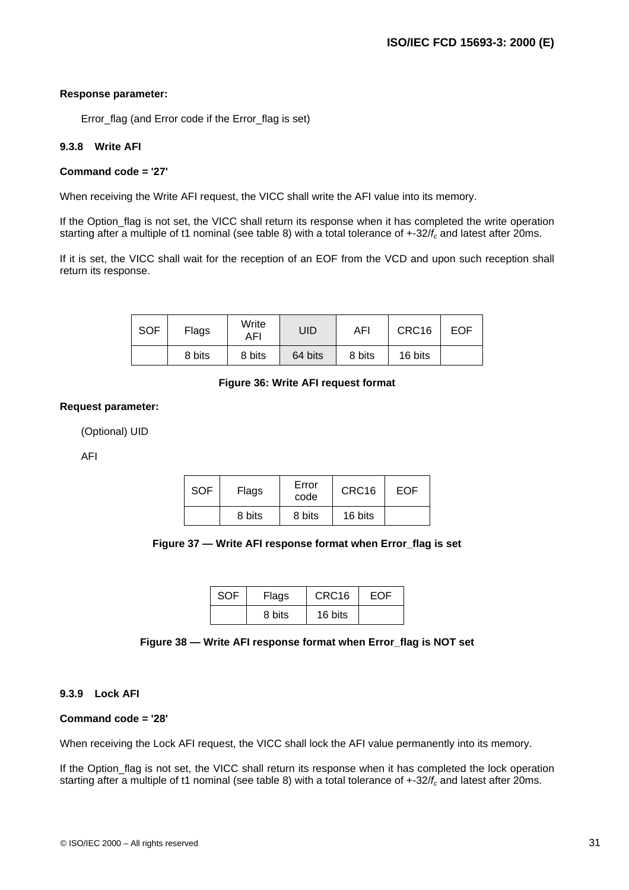#### **Response parameter:**

Error\_flag (and Error code if the Error\_flag is set)

### **9.3.8 Write AFI**

#### **Command code = '27'**

When receiving the Write AFI request, the VICC shall write the AFI value into its memory.

If the Option\_flag is not set, the VICC shall return its response when it has completed the write operation starting after a multiple of t1 nominal (see table 8) with a total tolerance of +-32/*fc* and latest after 20ms.

If it is set, the VICC shall wait for the reception of an EOF from the VCD and upon such reception shall return its response.

| <b>SOF</b> | Flags  | Write<br>AFI | UID     | AFI    | CRC16   | <b>EOF</b> |
|------------|--------|--------------|---------|--------|---------|------------|
|            | 8 bits | 8 bits       | 64 bits | 8 bits | 16 bits |            |

#### **Figure 36: Write AFI request format**

#### **Request parameter:**

(Optional) UID

AFI

| SOF | Flags  | Error<br>code | CRC <sub>16</sub> | EOF |
|-----|--------|---------------|-------------------|-----|
|     | 8 bits | 8 bits        | 16 bits           |     |

#### **Figure 37 — Write AFI response format when Error\_flag is set**

| <b>SOF</b> | Flags  | CRC <sub>16</sub> | EOF |
|------------|--------|-------------------|-----|
|            | 8 bits | 16 bits           |     |

#### **Figure 38 — Write AFI response format when Error\_flag is NOT set**

#### **9.3.9 Lock AFI**

#### **Command code = '28'**

When receiving the Lock AFI request, the VICC shall lock the AFI value permanently into its memory.

If the Option flag is not set, the VICC shall return its response when it has completed the lock operation starting after a multiple of t1 nominal (see table 8) with a total tolerance of +-32/*fc* and latest after 20ms.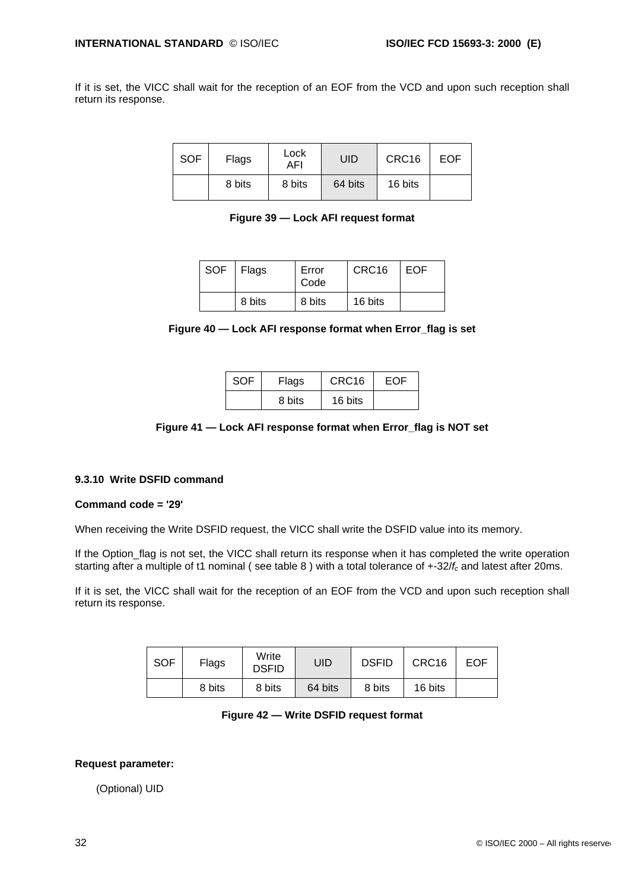If it is set, the VICC shall wait for the reception of an EOF from the VCD and upon such reception shall return its response.

| <b>SOF</b> | Flags  | Lock<br>AFI | UID     | CRC16   | EOF |
|------------|--------|-------------|---------|---------|-----|
|            | 8 bits | 8 bits      | 64 bits | 16 bits |     |

| Figure 39 - Lock AFI request format |  |  |  |
|-------------------------------------|--|--|--|
|                                     |  |  |  |

| SOF | <b>Flags</b> | Error<br>Code | CRC <sub>16</sub> | EOF |
|-----|--------------|---------------|-------------------|-----|
|     | 8 bits       | 8 bits        | 16 bits           |     |

| Figure 40 - Lock AFI response format when Error_flag is set |  |  |  |
|-------------------------------------------------------------|--|--|--|
|                                                             |  |  |  |

| <b>SOF</b> | Flags  | CRC <sub>16</sub> | EOF |
|------------|--------|-------------------|-----|
|            | 8 bits | 16 bits           |     |

#### **Figure 41 — Lock AFI response format when Error\_flag is NOT set**

#### **9.3.10 Write DSFID command**

#### **Command code = '29'**

When receiving the Write DSFID request, the VICC shall write the DSFID value into its memory.

If the Option\_flag is not set, the VICC shall return its response when it has completed the write operation starting after a multiple of t1 nominal ( see table 8 ) with a total tolerance of +-32/*fc* and latest after 20ms.

If it is set, the VICC shall wait for the reception of an EOF from the VCD and upon such reception shall return its response.

| <b>SOF</b> | Flags  | Write<br><b>DSFID</b> | UID     | <b>DSFID</b> | CRC16   | <b>EOF</b> |
|------------|--------|-----------------------|---------|--------------|---------|------------|
|            | 8 bits | 8 bits                | 64 bits | 8 bits       | 16 bits |            |

#### **Figure 42 — Write DSFID request format**

#### **Request parameter:**

(Optional) UID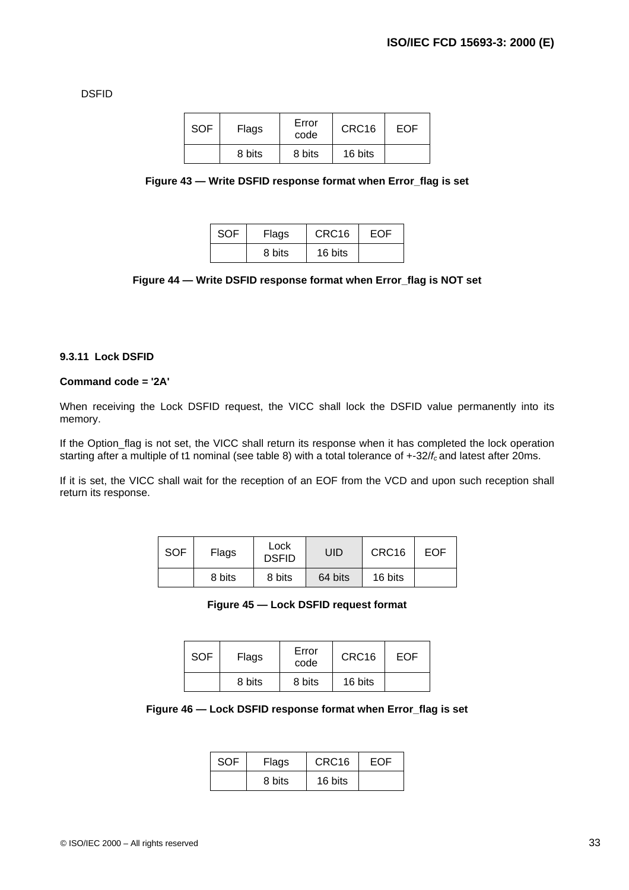DSFID

| <b>SOF</b> | Flags  | Error<br>code | CRC16   | EOF |
|------------|--------|---------------|---------|-----|
|            | 8 bits | 8 bits        | 16 bits |     |

|  |  | Figure 43 - Write DSFID response format when Error_flag is set |  |  |  |
|--|--|----------------------------------------------------------------|--|--|--|
|  |  |                                                                |  |  |  |

| <b>SOF</b> | Flags  | CRC <sub>16</sub> | <b>FOF</b> |
|------------|--------|-------------------|------------|
|            | 8 bits | 16 bits           |            |

#### **Figure 44 — Write DSFID response format when Error\_flag is NOT set**

#### **9.3.11 Lock DSFID**

#### **Command code = '2A'**

When receiving the Lock DSFID request, the VICC shall lock the DSFID value permanently into its memory.

If the Option\_flag is not set, the VICC shall return its response when it has completed the lock operation starting after a multiple of t1 nominal (see table 8) with a total tolerance of +-32/*f<sup>c</sup>* and latest after 20ms.

If it is set, the VICC shall wait for the reception of an EOF from the VCD and upon such reception shall return its response.

| <b>SOF</b> | Flags  | Lock<br><b>DSFID</b> | UID     | CRC16   | EOF |
|------------|--------|----------------------|---------|---------|-----|
|            | 8 bits | 8 bits               | 64 bits | 16 bits |     |

**Figure 45 — Lock DSFID request format**

| <b>SOF</b> | Flags  | Error<br>code | CRC <sub>16</sub> | EOF |
|------------|--------|---------------|-------------------|-----|
|            | 8 bits | 8 bits        | 16 bits           |     |

| Figure 46 - Lock DSFID response format when Error_flag is set |  |  |  |  |  |
|---------------------------------------------------------------|--|--|--|--|--|
|---------------------------------------------------------------|--|--|--|--|--|

| <b>SOF</b> | Flags  | CRC <sub>16</sub> | EOF |
|------------|--------|-------------------|-----|
|            | 8 bits | 16 bits           |     |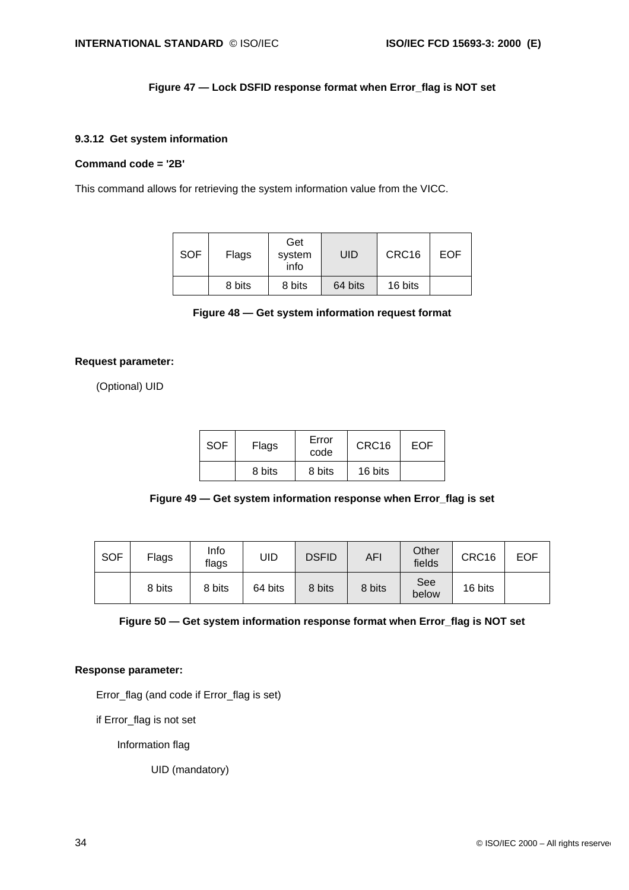### **Figure 47 — Lock DSFID response format when Error\_flag is NOT set**

#### **9.3.12 Get system information**

#### **Command code = '2B'**

This command allows for retrieving the system information value from the VICC.

| <b>SOF</b> | Flags  | Get<br>system<br>info | UID     | CRC16   | EOF |
|------------|--------|-----------------------|---------|---------|-----|
|            | 8 bits | 8 bits                | 64 bits | 16 bits |     |

**Figure 48 — Get system information request format**

#### **Request parameter:**

(Optional) UID

| <b>SOF</b> | Flags  | Error<br>code | CRC <sub>16</sub> | EOF |
|------------|--------|---------------|-------------------|-----|
|            | 8 bits | 8 bits        | 16 bits           |     |



| <b>SOF</b> | Flags  | Info<br>flags | UID     | <b>DSFID</b> | AFI    | Other<br>fields     | CRC16   | <b>EOF</b> |
|------------|--------|---------------|---------|--------------|--------|---------------------|---------|------------|
|            | 8 bits | 8 bits        | 64 bits | 8 bits       | 8 bits | <b>See</b><br>below | 16 bits |            |

| Figure 50 - Get system information response format when Error_flag is NOT set |  |  |  |  |
|-------------------------------------------------------------------------------|--|--|--|--|
|                                                                               |  |  |  |  |

#### **Response parameter:**

Error\_flag (and code if Error\_flag is set)

if Error\_flag is not set

Information flag

UID (mandatory)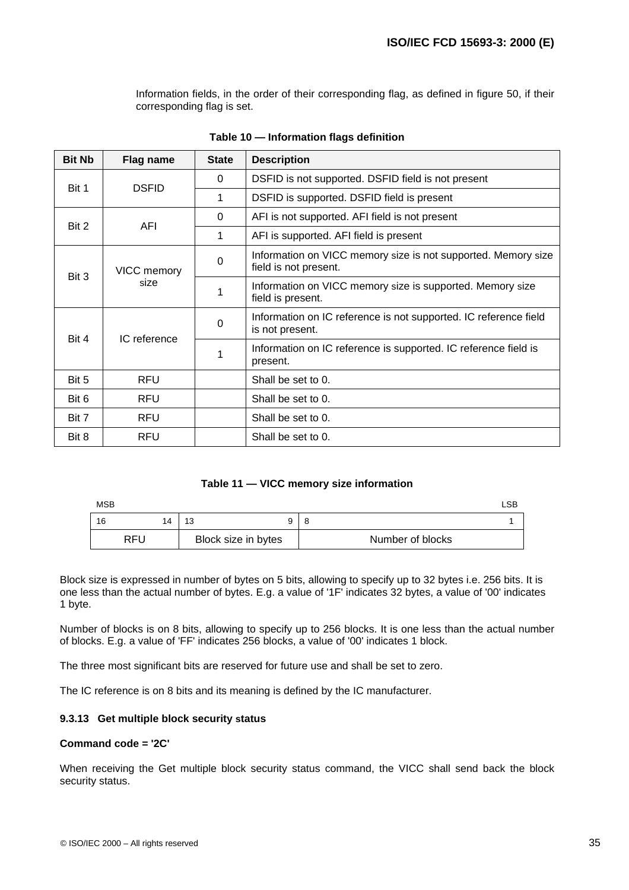Information fields, in the order of their corresponding flag, as defined in figure 50, if their corresponding flag is set.

| <b>Bit Nb</b>         | Flag name    | <b>State</b> | <b>Description</b>                                                                     |
|-----------------------|--------------|--------------|----------------------------------------------------------------------------------------|
| <b>DSFID</b><br>Bit 1 |              | 0            | DSFID is not supported. DSFID field is not present                                     |
|                       |              | 1            | DSFID is supported. DSFID field is present                                             |
|                       |              | 0            | AFI is not supported. AFI field is not present                                         |
| Bit 2                 | <b>AFI</b>   | 1            | AFI is supported. AFI field is present                                                 |
|                       | VICC memory  |              | Information on VICC memory size is not supported. Memory size<br>field is not present. |
| Bit 3                 | size         | 1            | Information on VICC memory size is supported. Memory size<br>field is present.         |
|                       |              | $\Omega$     | Information on IC reference is not supported. IC reference field<br>is not present.    |
| Bit 4                 | IC reference | 1            | Information on IC reference is supported. IC reference field is<br>present.            |
| Bit 5                 | <b>RFU</b>   |              | Shall be set to 0.                                                                     |
| Bit 6                 | <b>RFU</b>   |              | Shall be set to 0.                                                                     |
| Bit 7                 | <b>RFU</b>   |              | Shall be set to 0.                                                                     |
| Bit 8                 | <b>RFU</b>   |              | Shall be set to 0.                                                                     |

|  |  | Table 10 - Information flags definition |  |  |
|--|--|-----------------------------------------|--|--|
|--|--|-----------------------------------------|--|--|

#### **Table 11 — VICC memory size information**

| <b>MSB</b> |            |                     | ∟SB              |
|------------|------------|---------------------|------------------|
| 16         | 14         | 13                  | 8                |
|            | <b>RFU</b> | Block size in bytes | Number of blocks |

Block size is expressed in number of bytes on 5 bits, allowing to specify up to 32 bytes i.e. 256 bits. It is one less than the actual number of bytes. E.g. a value of '1F' indicates 32 bytes, a value of '00' indicates 1 byte.

Number of blocks is on 8 bits, allowing to specify up to 256 blocks. It is one less than the actual number of blocks. E.g. a value of 'FF' indicates 256 blocks, a value of '00' indicates 1 block.

The three most significant bits are reserved for future use and shall be set to zero.

The IC reference is on 8 bits and its meaning is defined by the IC manufacturer.

#### **9.3.13 Get multiple block security status**

#### **Command code = '2C'**

When receiving the Get multiple block security status command, the VICC shall send back the block security status.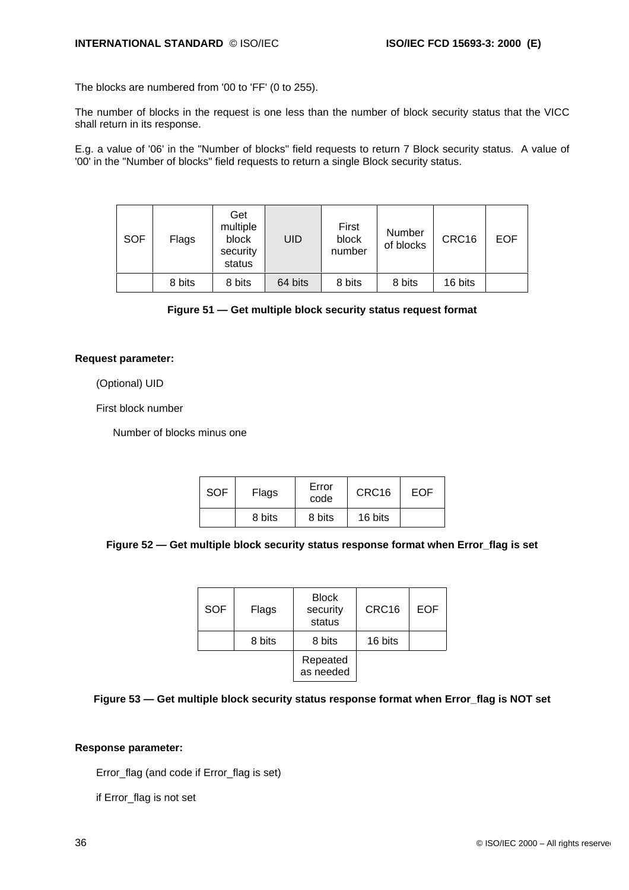The blocks are numbered from '00 to 'FF' (0 to 255).

The number of blocks in the request is one less than the number of block security status that the VICC shall return in its response.

E.g. a value of '06' in the "Number of blocks" field requests to return 7 Block security status. A value of '00' in the "Number of blocks" field requests to return a single Block security status.

| <b>SOF</b> | Flags  | Get<br>multiple<br>block<br>security<br>status | UID     | First<br>block<br>number | Number<br>of blocks | CRC16   | <b>EOF</b> |
|------------|--------|------------------------------------------------|---------|--------------------------|---------------------|---------|------------|
|            | 8 bits | 8 bits                                         | 64 bits | 8 bits                   | 8 bits              | 16 bits |            |

**Figure 51 — Get multiple block security status request format**

#### **Request parameter:**

(Optional) UID

First block number

Number of blocks minus one

| <b>SOF</b> | Flags  | Error<br>code | CRC <sub>16</sub> | EOF |
|------------|--------|---------------|-------------------|-----|
|            | 8 bits | 8 bits        | 16 bits           |     |

**Figure 52 — Get multiple block security status response format when Error\_flag is set**

| <b>SOF</b> | Flags  | <b>Block</b><br>security<br>status | CRC <sub>16</sub> | <b>EOF</b> |
|------------|--------|------------------------------------|-------------------|------------|
|            | 8 bits | 8 bits                             | 16 bits           |            |
|            |        | Repeated<br>as needed              |                   |            |

### **Figure 53 — Get multiple block security status response format when Error\_flag is NOT set**

#### **Response parameter:**

Error\_flag (and code if Error\_flag is set)

if Error\_flag is not set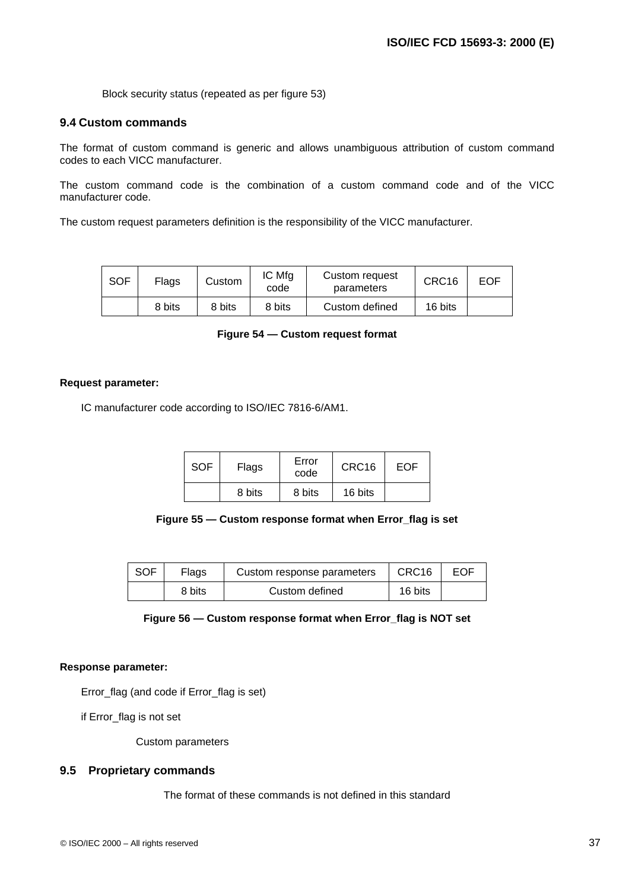Block security status (repeated as per figure 53)

### **9.4 Custom commands**

The format of custom command is generic and allows unambiguous attribution of custom command codes to each VICC manufacturer.

The custom command code is the combination of a custom command code and of the VICC manufacturer code.

The custom request parameters definition is the responsibility of the VICC manufacturer.

| <b>SOF</b> | Flags  | Custom | IC Mfg<br>code | Custom request<br>parameters | CRC16   | EOF |
|------------|--------|--------|----------------|------------------------------|---------|-----|
|            | 8 bits | 8 bits | 8 bits         | Custom defined               | 16 bits |     |

| Figure 54 – Custom request format |  |
|-----------------------------------|--|
|-----------------------------------|--|

#### **Request parameter:**

IC manufacturer code according to ISO/IEC 7816-6/AM1.

| <b>SOF</b> | Error<br>Flags<br>code |        | CRC <sub>16</sub> | EOF |
|------------|------------------------|--------|-------------------|-----|
|            | 8 bits                 | 8 bits | 16 bits           |     |

#### **Figure 55 — Custom response format when Error\_flag is set**

| ∣ SOF | Flags  | Custom response parameters | $\mid$ CRC16 | EOF |
|-------|--------|----------------------------|--------------|-----|
|       | 8 bits | Custom defined             | 16 bits      |     |

#### **Figure 56 — Custom response format when Error\_flag is NOT set**

#### **Response parameter:**

Error\_flag (and code if Error\_flag is set)

if Error\_flag is not set

Custom parameters

### **9.5 Proprietary commands**

The format of these commands is not defined in this standard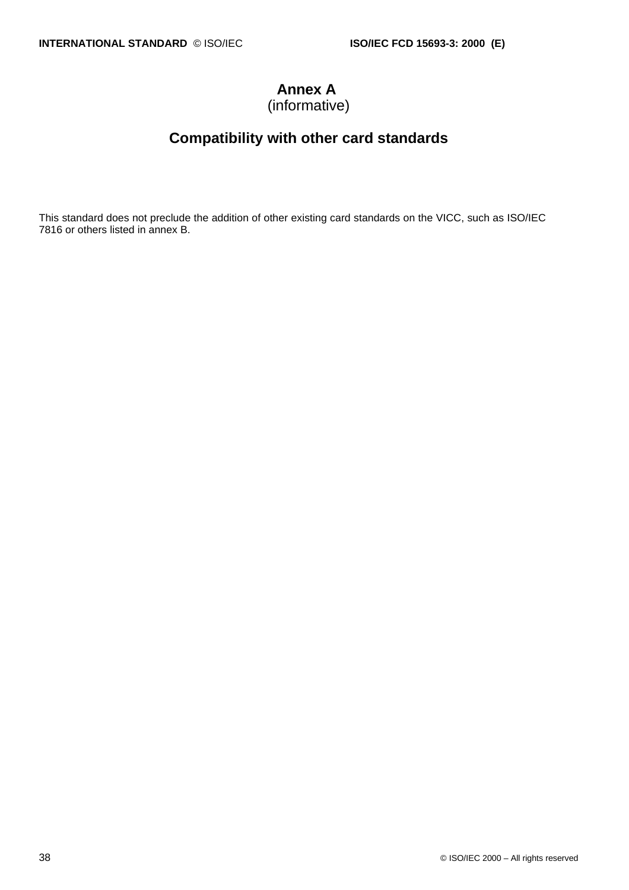# **Annex A**

(informative)

# **Compatibility with other card standards**

This standard does not preclude the addition of other existing card standards on the VICC, such as ISO/IEC 7816 or others listed in annex B.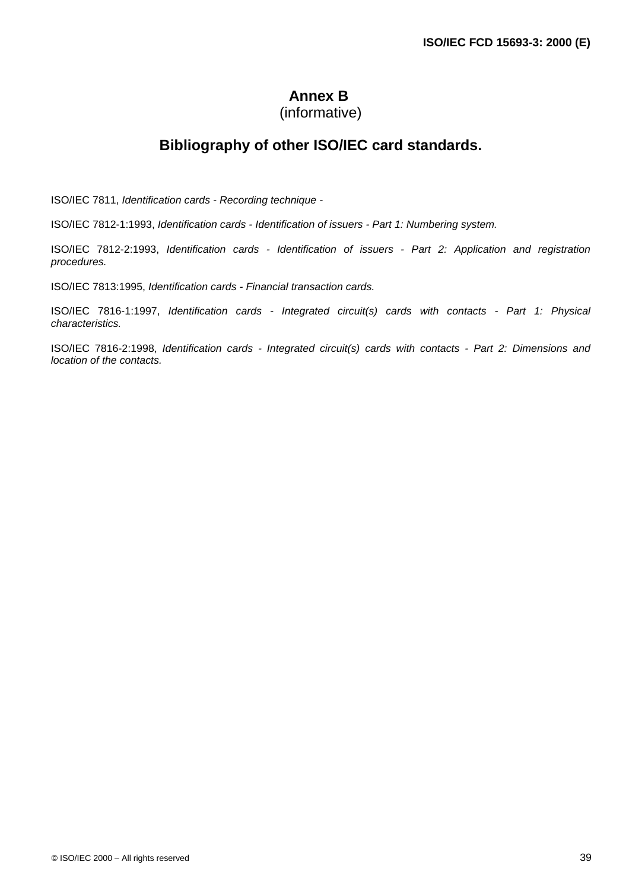# **Annex B**

# (informative)

# **Bibliography of other ISO/IEC card standards.**

ISO/IEC 7811, *Identification cards - Recording technique -*

ISO/IEC 7812-1:1993, *Identification cards - Identification of issuers - Part 1: Numbering system.*

ISO/IEC 7812-2:1993, *Identification cards - Identification of issuers - Part 2: Application and registration procedures.*

ISO/IEC 7813:1995, *Identification cards - Financial transaction cards.*

ISO/IEC 7816-1:1997, *Identification cards - Integrated circuit(s) cards with contacts - Part 1: Physical characteristics.*

ISO/IEC 7816-2:1998, *Identification cards - Integrated circuit(s) cards with contacts - Part 2: Dimensions and location of the contacts.*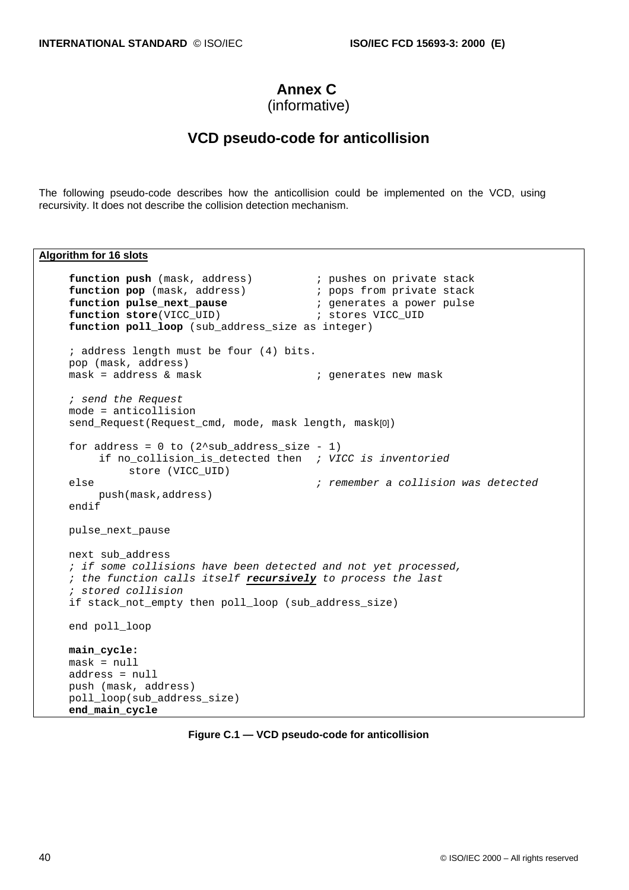# **Annex C**

```
(informative)
```
### **VCD pseudo-code for anticollision**

The following pseudo-code describes how the anticollision could be implemented on the VCD, using recursivity. It does not describe the collision detection mechanism.

#### **Algorithm for 16 slots**

```
function push (mask, address) i pushes on private stack<br>
function pop (mask, address) i pops from private stack
function pop (mask, address) \begin{array}{ccc} \cdot & \cdot & \cdot \\ \cdot & \cdot & \cdot \\ \textbf{function pulse\_next\_package} & \cdot & \cdot \\ \end{array} ; generates a power pulse
function F - F ; which is a pause function pulse_next_pause
function store(VICC_UID) \qquad \qquad ; stores VICC_UID
function poll_loop (sub_address_size as integer)
; address length must be four (4) bits.
pop (mask, address)<br>mask = address & mask
                                                ; generates new mask
; send the Request
mode = anticollision
send_Request(Request_cmd, mode, mask length, mask[0])
for address = 0 to (2 \text{sub\_address\_size - 1})if no_collision_is_detected then ; VICC is inventoried
           store (VICC_UID)
else ; remember a collision was detected
     push(mask,address)
endif
pulse_next_pause
next sub_address
; if some collisions have been detected and not yet processed,
; the function calls itself recursively to process the last
; stored collision
if stack not empty then poll loop (sub address size)
end poll_loop
main_cycle:
mask = null
address = null
push (mask, address)
poll_loop(sub_address_size)
end_main_cycle
```
**Figure C.1 — VCD pseudo-code for anticollision**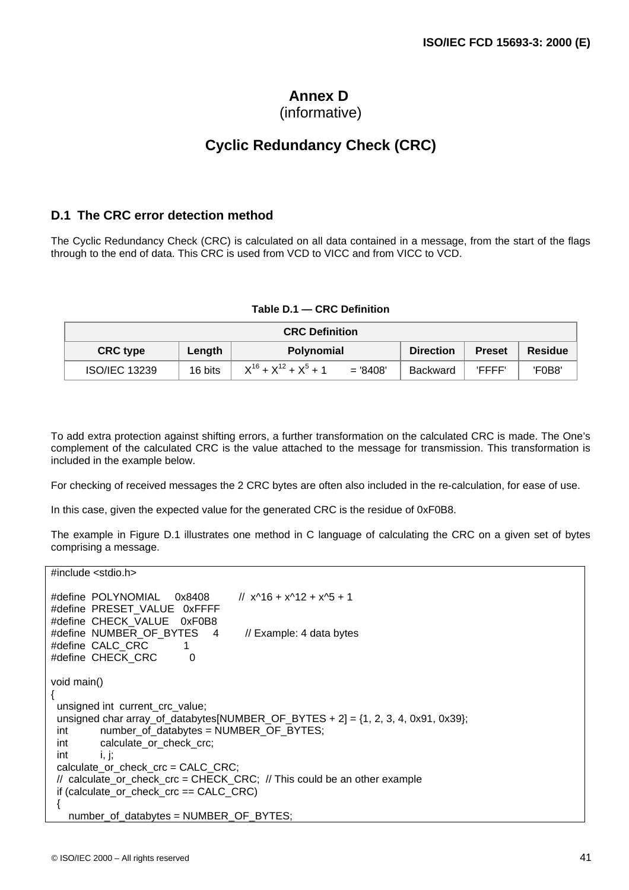# **Annex D**

### (informative)

# **Cyclic Redundancy Check (CRC)**

### **D.1 The CRC error detection method**

The Cyclic Redundancy Check (CRC) is calculated on all data contained in a message, from the start of the flags through to the end of data. This CRC is used from VCD to VICC and from VICC to VCD.

#### **Table D.1 — CRC Definition**

| <b>CRC Definition</b>                          |         |                                          |                 |                |        |  |
|------------------------------------------------|---------|------------------------------------------|-----------------|----------------|--------|--|
| <b>CRC type</b><br><b>Polynomial</b><br>Length |         | <b>Direction</b>                         | <b>Preset</b>   | <b>Residue</b> |        |  |
| <b>ISO/IEC 13239</b>                           | 16 bits | $X^{16} + X^{12} + X^5 + 1$<br>$= 8408'$ | <b>Backward</b> | 'FFFF'         | 'F0B8' |  |

To add extra protection against shifting errors, a further transformation on the calculated CRC is made. The One's complement of the calculated CRC is the value attached to the message for transmission. This transformation is included in the example below.

For checking of received messages the 2 CRC bytes are often also included in the re-calculation, for ease of use.

In this case, given the expected value for the generated CRC is the residue of 0xF0B8.

The example in Figure D.1 illustrates one method in C language of calculating the CRC on a given set of bytes comprising a message.

#include <stdio.h> #define POLYNOMIAL 0x8408 // x^16 + x^12 + x^5 + 1 #define PRESET\_VALUE 0xFFFF #define CHECK\_VALUE 0xF0B8 #define NUMBER OF BYTES 4 // Example: 4 data bytes #define CALC CRC 1 #define CHECK CRC 0 void main() { unsigned int current crc\_value; unsigned char array\_of\_databytes[NUMBER\_OF\_BYTES + 2] = {1, 2, 3, 4, 0x91, 0x39}; int number\_of\_databytes = NUMBER\_OF\_BYTES; int calculate\_or\_check\_crc;  $int$  i, j; calculate\_or\_check\_crc = CALC\_CRC; // calculate\_or\_check\_crc = CHECK\_CRC; // This could be an other example if (calculate or check  $\text{crc} == \text{CALC} \text{ CRC}$ ) { number\_of\_databytes = NUMBER\_OF\_BYTES;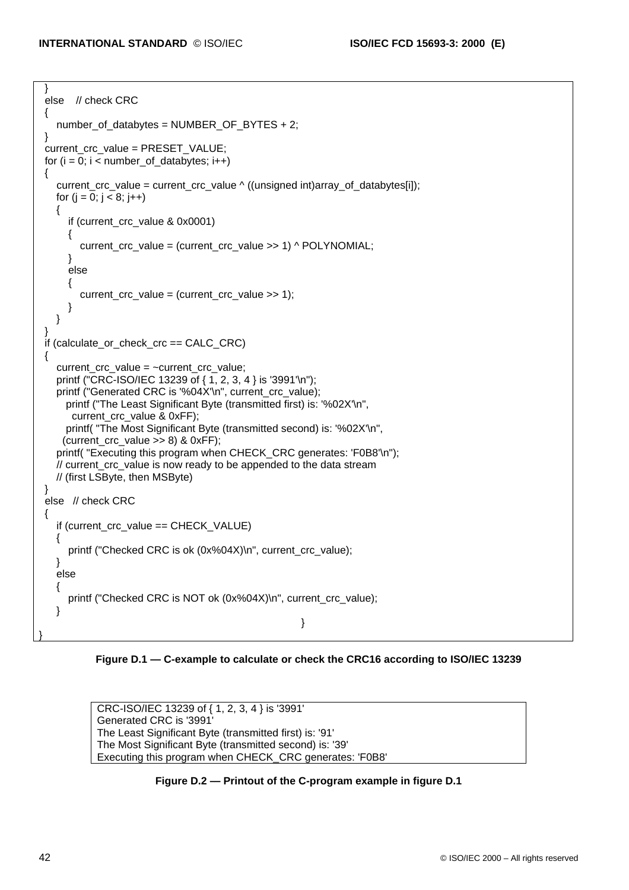```
 }
 else // check CRC
 {
   number of databytes = NUMBER OF BYTES + 2;
 }
 current_crc_value = PRESET_VALUE;
for (i = 0; i < number of_databytes; i++) {
   current crc_value = current crc_value ^ ((unsigned int)array_of_databytes[i]);
   for (i = 0; j < 8; j++) {
       if (current_crc_value & 0x0001)
       {
         current_crc_value = (current_crc_value >> 1) ^ POLYNOMIAL;
       }
       else
       {
         current_crc_value = (current_crc_value >> 1);
 }
    }
 }
if (calculate or check \text{crc} == \text{CALC} \text{ CRC})
 {
   current \text{crc} value = ~current \text{crc} value:
    printf ("CRC-ISO/IEC 13239 of { 1, 2, 3, 4 } is '3991'\n");
   printf ("Generated CRC is '%04X'\n", current_crc_value);
     printf ("The Least Significant Byte (transmitted first) is: '%02X'\n",
       current_crc_value & 0xFF);
     printf( "The Most Significant Byte (transmitted second) is: '%02X'\n",
     (current_crc_value >> 8) & 0xFF);
   printf( "Executing this program when CHECK_CRC generates: 'F0B8'\n");
    // current_crc_value is now ready to be appended to the data stream
    // (first LSByte, then MSByte)
 }
 else // check CRC
 {
    if (current_crc_value == CHECK_VALUE)
    {
      printf ("Checked CRC is ok (0x%04X)\n", current_crc_value);
    }
    else
    {
      printf ("Checked CRC is NOT ok (0x%04X)\n", current_crc_value);
    }
                                                          }
}
```
**Figure D.1 — C-example to calculate or check the CRC16 according to ISO/IEC 13239**

CRC-ISO/IEC 13239 of { 1, 2, 3, 4 } is '3991' Generated CRC is '3991' The Least Significant Byte (transmitted first) is: '91' The Most Significant Byte (transmitted second) is: '39' Executing this program when CHECK\_CRC generates: 'F0B8'

**Figure D.2 — Printout of the C-program example in figure D.1**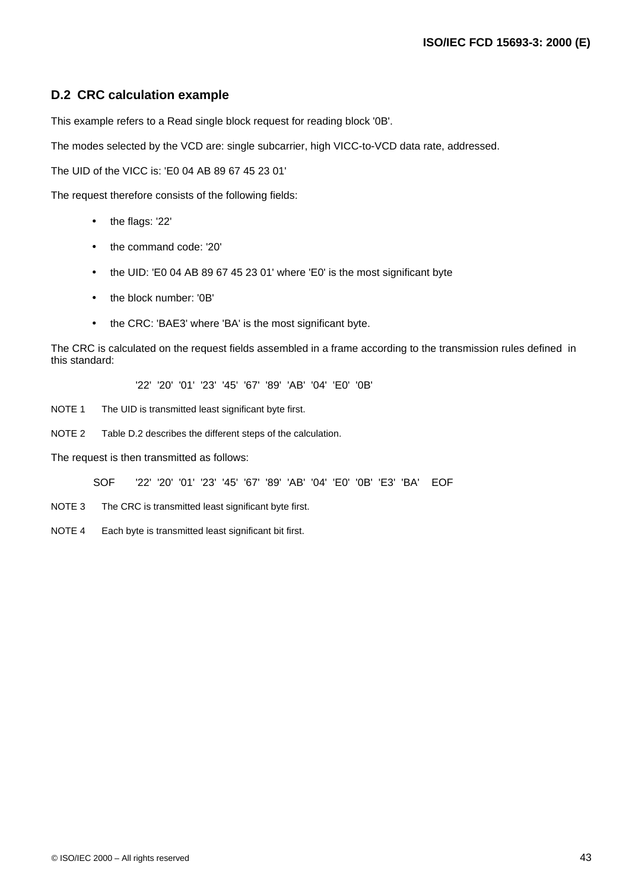### **D.2 CRC calculation example**

This example refers to a Read single block request for reading block '0B'.

The modes selected by the VCD are: single subcarrier, high VICC-to-VCD data rate, addressed.

The UID of the VICC is: 'E0 04 AB 89 67 45 23 01'

The request therefore consists of the following fields:

- the flags: '22'
- the command code: '20'
- the UID: 'E0 04 AB 89 67 45 23 01' where 'E0' is the most significant byte
- the block number: '0B'
- the CRC: 'BAE3' where 'BA' is the most significant byte.

The CRC is calculated on the request fields assembled in a frame according to the transmission rules defined in this standard:

'22' '20' '01' '23' '45' '67' '89' 'AB' '04' 'E0' '0B'

- NOTE 1 The UID is transmitted least significant byte first.
- NOTE 2 Table D.2 describes the different steps of the calculation.

The request is then transmitted as follows:

SOF '22' '20' '01' '23' '45' '67' '89' 'AB' '04' 'E0' '0B' 'E3' 'BA' EOF

- NOTE 3 The CRC is transmitted least significant byte first.
- NOTE 4 Each byte is transmitted least significant bit first.